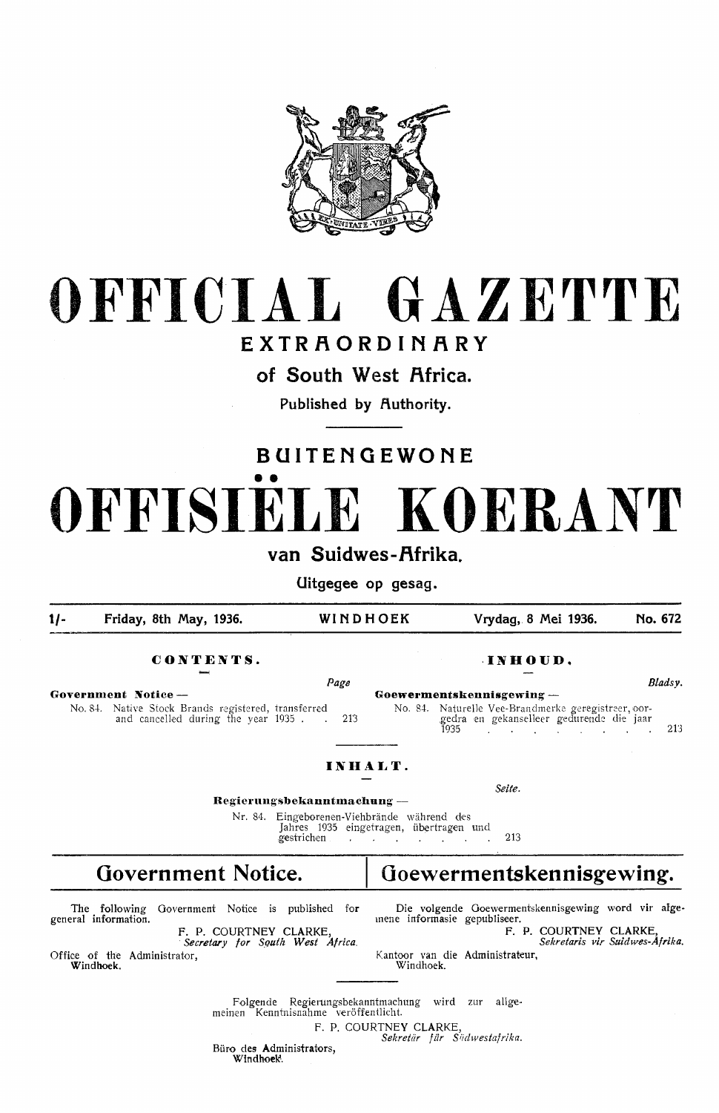

# **OFFICIAL GAZETTE**

### **EXTR.f\ORDIN.F\RY**

**of South West Africa.** 

Published by **Authority**.

## **BUITENGEWONE**  •• **OFFISIELE KOERANT van Suidwes-Afrika.**

**Uitgegee op gesag.** 

**t/- Friday, 8th May, 1936. WINDHOEK Vrydag, 8 Mei 1936. No. 672** 

#### **CONTENTS. -INHOUD.**

*Page*  Government Notice – **Government** No. 84. Native Stock Brands registered, transferred and cancelled during the year 1935 . 213

|                                                                                                 | Bladsy. |
|-------------------------------------------------------------------------------------------------|---------|
| koewermentskennisgewing —                                                                       |         |
| No. 84. Naturelle Vee-Brandmerke geregistreer, oor-<br>gedra en gekanselleer gedurende die jaar |         |
| 1935.<br>the company of the company of the company of the company of the company of             | 213     |

*Seite.* 

#### **IN HALT.**

**Regierungsbekanntmachung** -

Nr. 84. Eingeborenen-Viehbrände während des Jahres 1935 eingetragen, übertragen und gestrichen  $\cdot$  .  $\cdot$  . 213

## Government Notice. | Goewermentskennisgewing.

The following Government Notice is published for general information.

F. P. COURTNEY CLARKE, · *Secretary for Squtk West Africa.* 

Office of the Administrator, **Windhoek.** 

Die volgende Goewermentskennisgewing word vir algemene informasie gepub1iseer. **F. P. COURTNEY CLARKE,** 

*Sekretaris vir Suidwes-Af rika.*  Kantoor van die Administrateur,

Folgende Regierungsbekanntmachung wird zur allge-Kenntnisnahme veröffentlicht. F. P. COURTNEY CLARKE

Büro des Administrators, *Sekretiir fiir Siidwestafrika.* 

Windhoek.

Windho**e**k.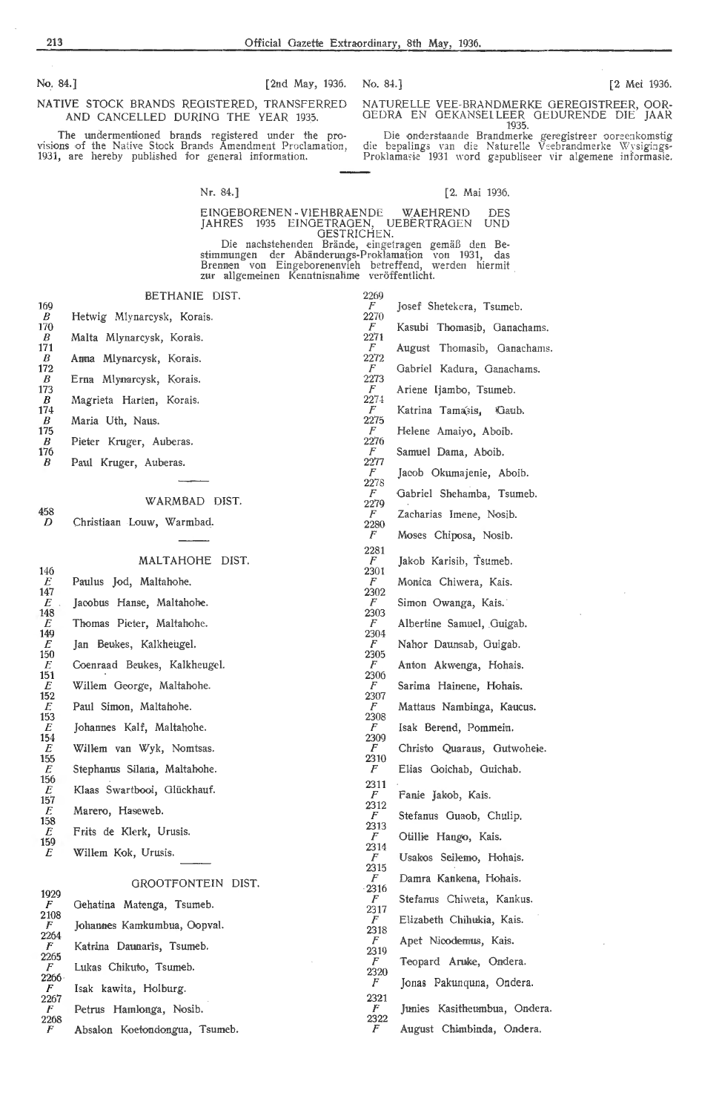No. 84.] [2nd May, 1936. No. 84.] [2 Mei 1936.

NATIVE STOCK BRANDS REGISTERED, TRANSFERRED **AND** CANCELLED DURING THE YEAR 1935.

The undermentioned brands registered under the provisions of the Native Stock Brands Amendment Proclamation, 1931, are hereby published for general information.

NATURELLE VEE-BRANDMERKE GEREGISTREER, OOR-<br>GEDRA EN GEKANSELLEER GEDURENDE DIE JAAR 1935.

Die onderstaande Brandmerke geregistreer ooreenkomstig die bepalings van die Naturelle Veebrandmerke Wysigings-Proklamasie 1931 word gepubliseer vir algemene informasie.

Nr. 84.J

[2. Mai 1936.

EINGEBORENEN - VIEHBRAENDE WAEHREND DES<br>JAHRES 1935 EINGETRAGEN, UEBERTRAGEN UND JAliRES 1935 EINGETRAGEN, UEBERTRAGEN UND OESTRICHEN.

Die nachstehenden Brande, eingetragen gemiiB den Bestimmungen der Abänderungs-Proklamation von 1931, das Brennen von Eingeborenenvieh betreffend, werden hiermit<br>zur allgemeinen Kenntnisnalime veröffentlicht.

| BETHANIE DIST. |  |
|----------------|--|
|                |  |

 $\frac{169}{B}$ Hetwig Mlynarcysk, Korais.  $\overline{170}$ <br>B *B* Malta Mlynarcysk, Korais. 171

 $\frac{458}{D}$ 146  $\frac{E}{147}$ 148  $\frac{E}{149}$  $\frac{E}{150}$  $\frac{151}{E}$  $153$ <br> $E$ 154  $\frac{E}{155}$  $156 \ E$ 157

 $\frac{2268}{F}$ 

Absalon Koetondongua, Tsumeb.

 $\frac{176}{B}$ 

| 171<br>$\boldsymbol{B}$  | Anna Mlynarcysk, Korais.     | r.<br>2272 | August II   |
|--------------------------|------------------------------|------------|-------------|
| 172                      |                              | F          | Gabriel Ka  |
| $\boldsymbol{B}$<br>173  | Erna Mlynarcysk, Korais.     | 2273<br>F  | Ariene Ijar |
| B<br>174                 | Magrieta Harten, Korais.     | 2274<br>F  | Katrina Ta  |
| B<br>175                 | Maria Uth, Naus.             | 2275<br>F  | Helene An   |
| $\boldsymbol{B}$<br>176  | Pieter Kruger, Auberas.      | 2276<br>F  | Samuel Da   |
| B                        | Paul Kruger, Auberas.        | 2277<br>F  | Jacob Oku   |
|                          |                              | 2278<br>F  | Gabriel Sł  |
| 458                      | WARMBAD DIST.                | 2279<br>F  | Zacharias   |
| D                        | Christiaan Louw, Warmbad.    | 2280<br>F  | Moses Chi   |
|                          |                              | 2281       |             |
| 146                      | MALTAHOHE DIST.              | F<br>2301  | Jakob Kar   |
| E<br>147                 | Paulus Jod, Maltahohe.       | F<br>2302  | Monica Cl   |
| $E_{\parallel}$<br>148   | Jacobus Hanse, Maltahohe.    | F<br>2303  | Simon Ow    |
| E<br>149                 | Thomas Pieter, Maltahohe.    | F<br>2304  | Albertine : |
| $E_{\parallel}$<br>150   | Jan Beukes, Kalkheugel.      | F<br>2305  | Nahor Dat   |
| E<br>151                 | Coenraad Beukes, Kalkheugel. | F<br>2306  | Anton Aky   |
| E<br>152                 | Willem George, Maltahohe.    | F<br>2307  | Sarima Ha   |
| E                        | Paul Simon, Maltahohe.       | F          | Mattaus N   |
| 153<br>E                 | Johannes Kalf, Maltahohe.    | 2308<br>F  | Isak Berer  |
| 154<br>E                 | Willem van Wyk, Nomtsas.     | 2309<br>F  | Christo Q   |
| 155<br>$E_{\rm}$         | Stephanus Silana, Maltahohe. | 2310<br>F  | Elias Goio  |
| 156<br>E                 | Klaas Swartbooi, Glückhauf.  | 2311<br>F  | Fanie Jako  |
| 157<br>E                 | Marero, Haseweb.             | 2312<br>F  | Stefanus (  |
| 158<br>E                 | Frits de Klerk, Urusis.      | 2313<br>F  | Otillie Ha  |
| 159<br>E                 | Willem Kok, Urusis.          | 2314<br>F  | Usakos Se   |
|                          |                              | 2315<br>F  |             |
| 1929                     | GROOTFONTEIN DIST.           | 2316       | Damra Ka    |
| F<br>2108                | Gehatina Matenga, Tsumeb.    | F<br>2317  | Stefanus (  |
| F<br>2264                | Johannes Kamkumbua, Oopval.  | F<br>2318  | Elizabeth   |
| $\boldsymbol{F}$<br>2265 | Katrina Daunaris, Tsumeb.    | F<br>2319  | Apet Nicc   |
| F<br>2266 .              | Lukas Chikuto, Tsumeb.       | F<br>2320  | Teopard     |
| F                        | Isak kawita, Holburg.        | F<br>2321  | Jonas Pal   |
| 2267<br>F                | Petrus Hamlonga, Nosib.      | F          | Junies Ka   |

 $\frac{2269}{F}$ Josef Shetekera, Tsumeb. 2270 Kasubi Thomasib, Ganachams. 2271 homasib, Ganachams. adura, Ganachams. mbo, Tsumeb. ama'sis, *Ca*ub. naiyo, Aboib. ima, Aboib. *Imajenie, Aboib.*  $nehamba$ , Tsumeb. Imene, Nosib. iposa, Nosib. isib, Tsumeb. hiwera, Kais. anga, Kais. Samuel, Guigab. unsab, Guigab. wenga, Hohais. ainene, Hohais. lambinga, Kaucus. *Id*, Pommein. Juaraus, Gutwoheie. chab, Guichab. ob, Kais. Guaob, Chulip. *ingo, Kais.* eilemo, Hohais. nkena, Hohais. Chiweta, Kankus. Chihukia, Kais. demus, Kais. Aruke, Ondera. kunquna, Ondera.

Junies Kasitheumbua, Ondera.

August Chimbinda, Ondera.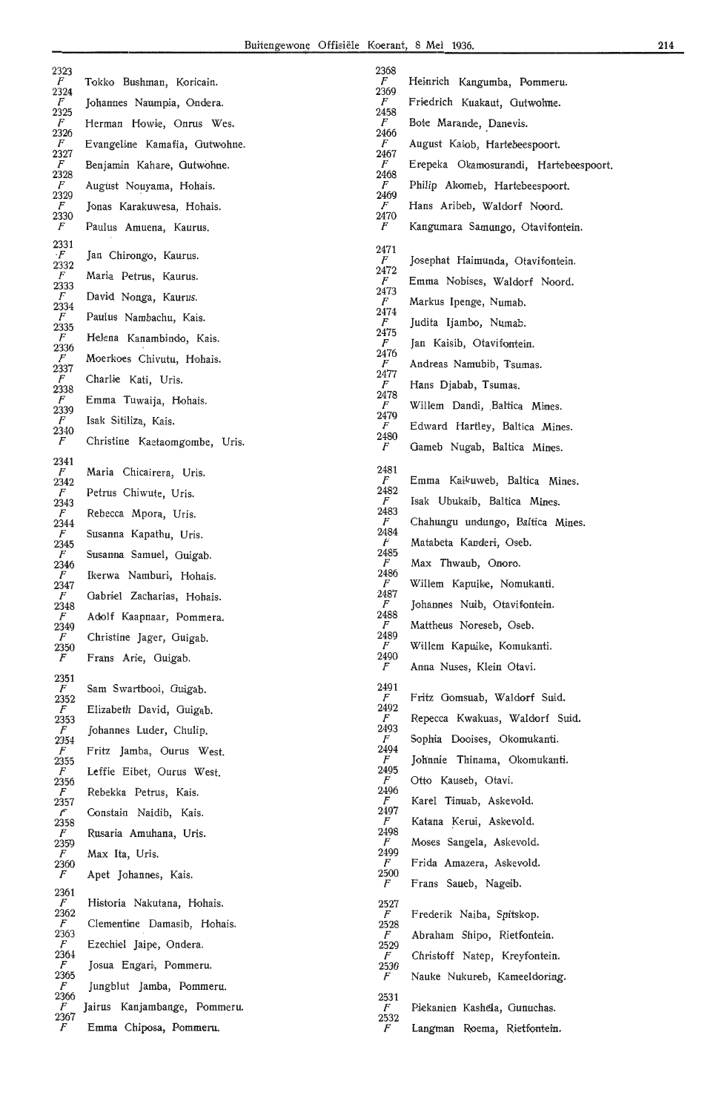| 2323                      |                               | 2368                     |                                       |
|---------------------------|-------------------------------|--------------------------|---------------------------------------|
| $\boldsymbol{F}$<br>2324  | Tokko Bushman, Koricain.      | F<br>2369                | Heinrich Kangumba, Pommeru.           |
| $\boldsymbol{F}$<br>2325  | Johannes Naumpia, Ondera.     | $\boldsymbol{F}$<br>2458 | Friedrich Kuakaut, Gutwohne.          |
| $\overline{F}$<br>2326    | Herman Howie, Onrus Wes.      | $\overline{F}$<br>2466   | Bote Marande, Danevis.                |
| $\overline{F}$            | Evangeline Kamafia, Gutwohne. | F                        | August Kaiob, Hartebeespoort.         |
| 2327<br>$\overline{F}$    | Benjamin Kahare, Gutwohne.    | 2467<br>F                | Erepeka Okamosurandi, Hartebeespoort. |
| 2328<br>$\overline{F}$    | August Nouyama, Hohais.       | 2468<br>F                | Philip Akomeb, Hartebeespoort.        |
| 2329<br>F                 | Jonas Karakuwesa, Hohais.     | 2469<br>F                | Hans Aribeb, Waldorf Noord.           |
| 2330<br>$\,F$             | Paulus Amuena, Kaurus.        | 2470<br>F                | Kangumara Samungo, Otavifontein.      |
| 2331                      |                               |                          |                                       |
| $\cdot F$                 | Jan Chirongo, Kaurus.         | 2471<br>$\overline{F}$   | Josephat Haimunda, Otavifontein.      |
| 2332<br>$\boldsymbol{F}$  | Maria Petrus, Kaurus.         | 2472<br>F                | Emma Nobises, Waldorf Noord.          |
| 2333<br>F                 | David Nonga, Kaurus.          | 2473<br>F                | Markus Ipenge, Numab.                 |
| 2334<br>$\overline{F}$    | Paulus Nambachu, Kais.        | 2474<br>F                | Judita Ijambo, Numab.                 |
| 2335<br>$\overline{F}$    | Helena Kanambindo, Kais.      | 2475                     |                                       |
| 2336<br>$\boldsymbol{F}$  | Moerkoes Chivutu, Hohais.     | F<br>2476                | Jan Kaisib, Otavifontein.             |
| 2337<br>F                 |                               | F<br>2477                | Andreas Namubib, Tsumas.              |
| 2338                      | Charlie Kati, Uris.           | $\boldsymbol{F}$<br>2478 | Hans Djabab, Tsumas.                  |
| $\boldsymbol{F}$<br>2339  | Emma Tuwaija, Hohais.         | F<br>2479                | Willem Dandi, Baltica Mines.          |
| $\overline{F}$<br>2340    | Isak Sitiliza, Kais.          | F<br>2480                | Edward Hartley, Baltica Mines.        |
| $\,F$                     | Christine Kaetaomgombe, Uris. | F                        | Gameb Nugab, Baltica Mines.           |
| 2341<br>$\boldsymbol{F}$  | Maria Chicairera, Uris.       | 2481                     |                                       |
| 2342<br>$\boldsymbol{F}$  | Petrus Chiwute, Uris.         | $\boldsymbol{F}$<br>2482 | Emma Kaikuweb, Baltica Mines.         |
| 2343                      |                               | F<br>2483                | Isak Ubukaib, Baltica Mines.          |
| F<br>2344                 | Rebecca Mpora, Uris.          | F<br>2484                | Chahungu undungo, Baltica Mines.      |
| $\mathcal{F}$<br>2345     | Susanna Kapathu, Uris.        | F                        | Matabeta Kanderi, Oseb.               |
| F<br>2346                 | Susanna Samuel, Guigab.       | 2485<br>F                | Max Thwaub, Onoro.                    |
| F<br>2347                 | Ikerwa Namburi, Hohais.       | 2486<br>F                | Willem Kapuike, Nomukanti.            |
| $\mathcal{F}_{-}$<br>2348 | Gabriel Zacharias, Hohais.    | 2487                     | Johannes Nuib, Otavifontein.          |
| F                         | Adolf Kaapnaar, Pommera.      | 2488<br>$\boldsymbol{F}$ | Mattheus Noreseb, Oseb.               |
| 2349<br>$\boldsymbol{F}$  | Christine Jager, Guigab.      | 2489                     |                                       |
| 2350<br>F                 | Frans Arie, Guigab.           | F<br>2490                | Willem Kapuike, Komukanti.            |
| 2351                      |                               | F                        | Anna Nuses, Klein Otavi.              |
| $\overline{F}$<br>2352    | Sam Swartbooi, Guigab.        | 2491<br>$\overline{F}$   | Fritz Gomsuab, Waldorf Suid.          |
| F<br>2353                 | Elizabeth David, Guigab.      | 2492<br>F                | Repecca Kwakuas, Waldorf Suid.        |
| F<br>2354                 | Johannes Luder, Chulip.       | 2493<br>F                | Sophia Dooises, Okomukanti.           |
| F                         | Fritz Jamba, Ourus West.      | 2494<br>F                | Johnnie Thinama, Okomukanti.          |
| 2355<br>$\mathcal{F}$     | Leffie Eibet, Ourus West.     | 2495                     |                                       |
| 2356<br>$\mathcal{F}$     | Rebekka Petrus, Kais.         | F<br>2496                | Otto Kauseb, Otavi.                   |
| 2357<br>$\mathcal{F}$     | Constain Naidib, Kais.        | F<br>2497                | Karel Tinuab, Askevold.               |
| 2358<br>$\boldsymbol{F}$  | Rusaria Amuhana, Uris.        | $\mathcal{F}$<br>2498    | Katana Kerui, Askevold.               |
| 2359<br>F                 | Max Ita, Uris.                | $\overline{F}$<br>2499   | Moses Sangela, Askevold.              |
| 2360<br>$\sqrt{F}$        | Apet Johannes, Kais.          | F<br>2500                | Frida Amazera, Askevold.              |
| 2361                      |                               | F                        | Frans Saueb, Nageib.                  |
| $\sqrt{F}$<br>2362        | Historia Nakutana, Hohais.    | 2527                     |                                       |
| F                         | Clementine Damasib, Hohais.   | $\sqrt{F}$<br>2528       | Frederik Naiba, Spitskop.             |
| 2363<br>$\mathcal{F}$     | Ezechiel Jaipe, Ondera.       | $\sqrt{F}$<br>2529       | Abraham Shipo, Rietfontein.           |
| 2364<br>$\sqrt{F}$        | Josua Engari, Pommeru.        | F<br>2530                | Christoff Natep, Kreyfontein.         |
| 2365<br>$\boldsymbol{F}$  | Jungblut Jamba, Pommeru.      | $\mathcal{F}$            | Nauke Nukureb, Kameeldoring.          |
| 2366<br>$\boldsymbol{F}$  | Jairus Kanjambange, Pommeru.  | 2531<br>$\boldsymbol{F}$ | Piekanien Kashela, Gunuchas.          |
| 2367<br>F                 | Emma Chiposa, Pommeru.        | 2532<br>F                | Langman Roema, Rietfontein.           |
|                           |                               |                          |                                       |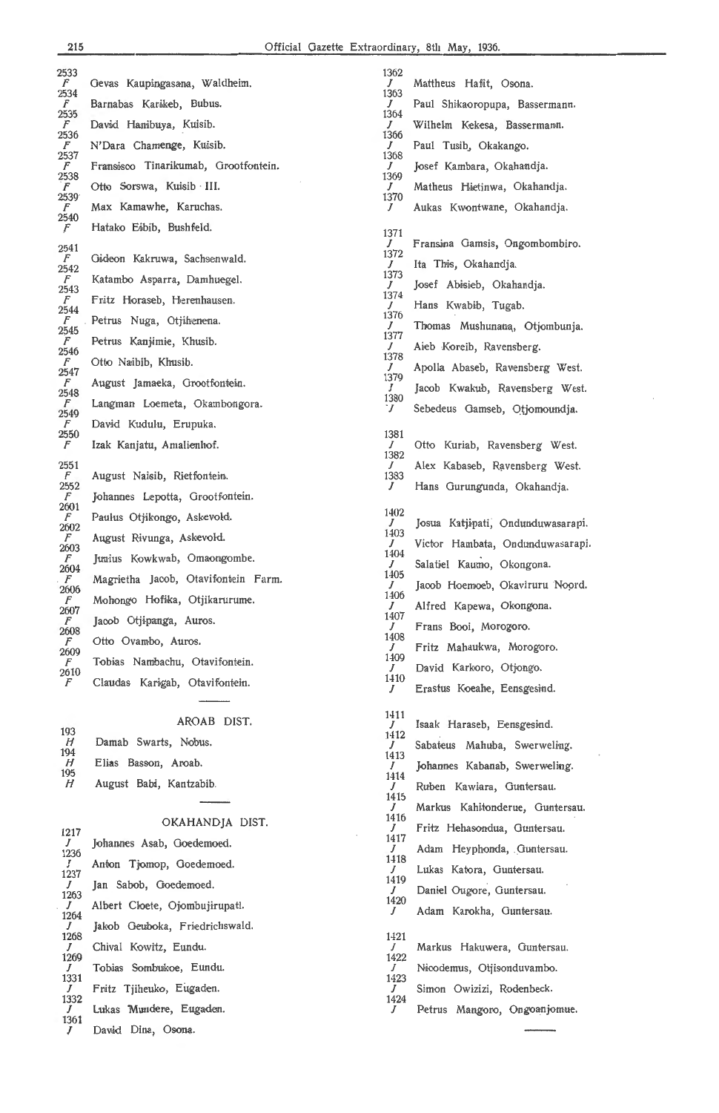J 1361 *I* 

David Dina, Osona

| 2533                  |                                      | 1362      |                                   |
|-----------------------|--------------------------------------|-----------|-----------------------------------|
| $\mathcal F$<br>2534  | Gevas Kaupingasana, Waldheim.        | 1363      | Mattheus Hafit, Osona.            |
| F                     | Barnabas Karikeb, Bubus.             | J         | Paul Shikaoropupa, Bassermann.    |
| 2535<br>$\mathcal{F}$ | David Hanibuya, Kuisib.              | 1364<br>J | Wilhelm Kekesa, Bassermann.       |
| 2536<br>F             |                                      | 1366      |                                   |
| 2537                  | N'Dara Chamenge, Kuisib.             | J<br>1368 | Paul Tusib, Okakango.             |
| $\sqrt{F}$<br>2538    | Fransisco Tinarikumab, Grootfontein. | J<br>1369 | Josef Kambara, Okahandja.         |
| F<br>2539             | Otto Sorswa, Kuisib III.             | J         | Matheus Hietinwa, Okahandja.      |
| F                     | Max Kamawhe, Karuchas.               | 1370<br>J | Aukas Kwontwane, Okahandja.       |
| 2540<br>F             | Hatako Eibib, Bushfeld.              |           |                                   |
| 2541                  |                                      | 1371<br>J | Fransina Gamsis, Ongombombiro.    |
| F                     | Gideon Kakruwa, Sachsenwald.         | 1372<br>J | Ita This, Okahandja.              |
| 2542<br>F<br>2543     | Katambo Asparra, Damhuegel.          | 1373<br>J | Josef Abisieb, Okahandja.         |
| F                     | Fritz Horaseb, Herenhausen.          | 1374<br>J | Hans Kwabib, Tugab.               |
| 2544<br>F             | Petrus Nuga, Otjihenena.             | 1376<br>J |                                   |
| 2545<br>$\mathcal{F}$ | Petrus Kanjimie, Khusib.             | 1377      | Thomas Mushunana, Otjombunja.     |
| 2546<br>F             | Otto Naibib, Khusib.                 | J<br>1378 | Aieb Koreib, Ravensberg.          |
| 2547                  |                                      | J<br>1379 | Apolla Abaseb, Ravensberg West.   |
| F<br>2548             | August Jamaeka, Grootfontein.        | J<br>1380 | Jacob Kwakub, Ravensberg West.    |
| F<br>2549             | Langman Loemeta, Okambongora.        | $\dot{J}$ | Sebedeus Gamseb, Otjomoundja.     |
| F<br>2550             | David Kudulu, Erupuka.               | 1381      |                                   |
| $\sqrt{F}$            | Izak Kanjatu, Amalienhof.            | I         | Otto Kuriab, Ravensberg West.     |
| 2551                  |                                      | 1382<br>J | Alex Kabaseb, Ravensberg West.    |
| F.<br>2552            | August Naisib, Rietfontein.          | 1383<br>J | Hans Gurungunda, Okahandja.       |
| F<br>2601             | Johannes Lepotta, Grootfontein.      |           |                                   |
| F<br>2602             | Paulus Otjikongo, Askevold.          | 1402<br>J | Josua Katjipati, Ondunduwasarapi. |
| F                     | August Rivunga, Askevold.            | 1403<br>J | Victor Hambata, Ondunduwasarapi.  |
| 2603<br>F             | Junius Kowkwab, Omaongombe.          | 1404<br>J | Salatiel Kaumo, Okongona.         |
| 2604<br>$\mathcal{F}$ | Magrietha Jacob, Otavifontein Farm.  | 1405      |                                   |
| 2606<br>F             | Mohongo Hofika, Otjikarurume.        | J<br>1406 | Jacob Hoemoeb, Okaviruru Noord.   |
| 2607<br>F             | Jacob Otjipanga, Auros.              | J<br>1407 | Alfred Kapewa, Okongona.          |
| 2608                  |                                      | J<br>1408 | Frans Booi, Morogoro.             |
| F<br>2609             | Otto Ovambo, Auros.                  | J<br>1409 | Fritz Mahaukwa, Morogoro.         |
| F<br>2610             | Tobias Nambachu, Otavifontein.       | J         | David Karkoro, Otjongo.           |
| F                     | Claudas Karigab, Otavifontein.       | 1410<br>J | Erastus Koeahe, Eensgesind.       |
|                       |                                      |           |                                   |
|                       | AROAB DIST.                          | 1411<br>J | Isaak Haraseb, Eensgesind.        |
| 193<br>H              | Damab Swarts, Nobus.                 | 1412<br>J | Sabateus Mahuba, Swerweling.      |
| 194<br>H              | Elias Basson, Aroab.                 | 1413      |                                   |
| 195                   |                                      | J<br>1414 | Johannes Kabanab, Swerweling.     |
| H                     | August Babi, Kantzabib.              | J<br>1415 | Ruben Kawiara, Guntersau.         |
|                       |                                      | J<br>1416 | Markus Kahitonderue, Guntersau.   |
| 1217                  | OKAHANDJA DIST.                      | J         | Fritz Hehasondua, Guntersau.      |
| J<br>1236             | Johannes Asab, Goedemoed.            | 1417<br>J | Adam Heyphonda, Guntersau.        |
| J<br>1237             | Anton Tjomop, Goedemoed.             | 1418<br>J | Lukas Katora, Guntersau.          |
| J                     | Jan Sabob, Goedemoed.                | 1419<br>J | Daniel Ougore, Guntersau.         |
| 1263<br>J             | Albert Cloete, Ojombujirupati.       | 1420<br>J |                                   |
| 1264<br>J             | Jakob Geuboka, Friedrichswald.       |           | Adam Karokha, Guntersau.          |
| 1268<br>J             | Chival Kowitz, Eundu.                | 1421<br>J | Markus Hakuwera, Guntersau.       |
| 1269                  |                                      | 1422      |                                   |
| J<br>1331             | Tobias Sombukoe, Eundu.              | J<br>1423 | Nicodemus, Otjisonduvambo.        |
| J<br>1332             | Fritz Tjiheuko, Eugaden.             | J<br>1424 | Simon Owizizi, Rodenbeck.         |
| J<br>1261             | Lukas Mundere, Eugaden.              | J         | Petrus Mangoro, Ongoanjomue.      |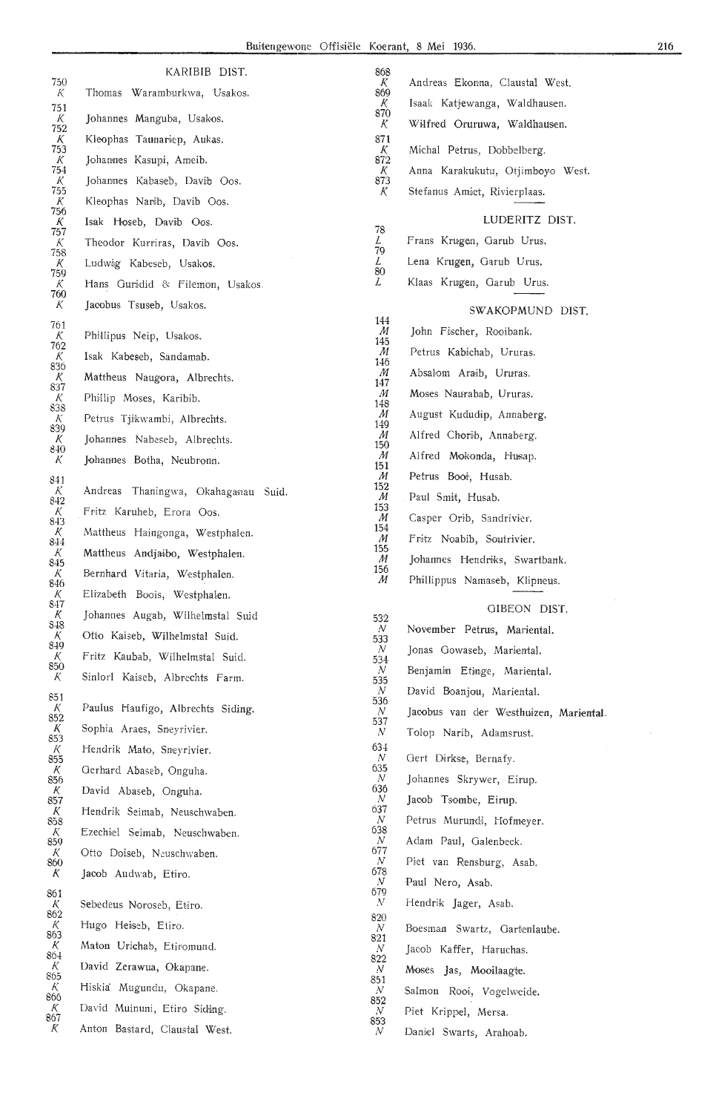|                        | KARIBIB DIST.                                                   |
|------------------------|-----------------------------------------------------------------|
| 750<br>K               | Thomas Waramburkwa, Usakos.                                     |
| 751<br>Κ               | Johannes Manguba, Usakos.                                       |
| 752<br>К               | Kleophas Taunariep, Aukas.                                      |
| 753<br>$\frac{K}{754}$ | Johannes Kasupi, Ameib.                                         |
| $\frac{K}{755}$        | Johannes Kabaseb, Davib Oos.                                    |
| К                      | Kleophas Narib, Davib Oos.                                      |
| 756<br>K               | Isak Hoseb, Davib Oos.                                          |
| 757<br>К               | Theodor Kurriras, Davib Oos.                                    |
| 758<br>$\frac{K}{759}$ | Ludwig Kabeseb, Usakos.                                         |
| К<br>760               | Hans Guridid & Filemon, Usakos.                                 |
| К                      | Jacobus Tsuseb, Usakos.                                         |
| 761<br>К               | Phillipus Neip, Usakos.                                         |
| 762<br>К               | Isak Kabeseb, Sandamab.                                         |
| 836                    | Mattheus Naugora, Albrechts.                                    |
| $\frac{K}{837}$<br>К   | Phillip Moses, Karibib.                                         |
| 838<br>К               | Petrus Tjikwambi, Albrechts.                                    |
| 839<br>К               | Johannes Nabeseb, Albrechts.                                    |
| 840<br>К               | Johannes Botha, Neubronn.                                       |
| 841                    |                                                                 |
| К<br>842               | Andreas<br>Thaningwa, Okahaganau Suid.                          |
| К<br>843               | Fritz Karuheb, Erora Oos.                                       |
| K<br>844<br>К          | Mattheus Haingonga, Westphalen.                                 |
| 845<br>K               | Mattheus Andjaibo, Westphalen.<br>Bernhard Vitaria, Westphalen. |
| 846<br>Κ               | Elizabeth Boois, Westphalen.                                    |
| 847<br>К               | Johannes Augab, Wilhelmstal Suid                                |
| 848<br>К               | Otto Kaiseb, Wilhelmstal Suid.                                  |
| 849<br>К               | Fritz Kaubab, Wilhelmstal Suid.                                 |
| 850<br>К               | Sinlorl Kaiseb, Albrechts Farm.                                 |
| 851                    |                                                                 |
| К<br>852               | Paulus Haufigo, Albrechts Siding.                               |
| K<br>853               | Sophia Araes, Sneyrivier.                                       |
| $\frac{K}{855}$        | Hendrik Mato, Sneyrivier.                                       |
| К<br>856               | Gerhard Abaseb, Onguha.                                         |
| $\frac{K}{857}$<br>К   | David Abaseb, Onguha.                                           |
| 858<br>$\cal K$        | Hendrik Seimab, Neuschwaben.<br>Ezechiel Seimab, Neuschwaben.   |
| 859<br>К               | Otto Doiseb, Neuschwaben.                                       |
| 860<br>K               | Jacob Audwab, Etiro.                                            |
| 861                    |                                                                 |
| K<br>862               | Sebedeus Noroseb, Etiro.                                        |
| K<br>863               | Hugo Heiseb, Etiro.                                             |
| K<br>864               | Maton Urichab, Etiromund.                                       |
| K<br>865               | David Zerawua, Okapane.                                         |
| К<br>866               | Hiskia Mugundu, Okapane.                                        |
| К                      | David Muinuni, Etiro Siding.                                    |

| ັ |                               |  |
|---|-------------------------------|--|
| К | Anton Bastard, Claustal West. |  |

| K<br>869                       | Andreas Ekonna, Claustal West.         |
|--------------------------------|----------------------------------------|
| К                              | Isaak Katjewanga, Waldhausen.          |
| 870<br>К                       | Wilfred Oruruwa, Waldhausen.           |
| 871                            |                                        |
| K<br>872                       | Michal Petrus, Dobbelberg.             |
| К<br>873                       | Anna Karakukutu, Otjimboyo West.       |
| К                              | Stefanus Amiet, Rivierplaas.           |
|                                | LUDERITZ DIST.                         |
| 78<br>L                        | Frans Krugen, Garub Urus.              |
| 79                             |                                        |
| L<br>80                        | Lena Krugen, Garub Urus.               |
| L                              | Klaas Krugen, Garub Urus.              |
|                                | SWAKOPMUND DIST.                       |
| 144<br>M                       | John Fischer, Rooibank.                |
| 145<br>M                       | Petrus Kabichab, Ururas.               |
| 146<br>M                       | Absalom Araib, Ururas.                 |
| 147                            |                                        |
| M<br>148                       | Moses Naurabab, Ururas.                |
| M<br>149                       | August Kududip, Annaberg.              |
| M<br>150                       | Alfred Chorib, Annaberg.               |
| M<br>151                       | Alfred Mokonda, Husap.                 |
| M<br>152                       | Petrus Booi, Husab.                    |
| M<br>153                       | Paul Smit, Husab.                      |
| M                              | Casper Orib, Sandrivier.               |
| 154<br>M                       | Fritz Noabib, Soutrivier.              |
| 155<br>M                       | Johannes Hendriks, Swartbank.          |
| 156<br>M                       | Phillippus Namaseb, Klipneus.          |
|                                |                                        |
| 532                            | GIBEON DIST.                           |
| N<br>533                       | November Petrus, Mariental.            |
| N<br>534                       | Jonas Gowaseb, Mariental.              |
| N<br>535                       | Benjamin Etinge, Mariental.            |
| N<br>536                       | David Boanjou, Mariental.              |
| N<br>537                       | Jacobus van der Westhuizen, Mariental. |
| N                              | Tolop Narib, Adamsrust.                |
| 634<br>N                       | Gert Dirkse, Bernafy.                  |
| 635<br>N                       | Johannes Skrywer, Eirup.               |
| 636<br>N                       | Jacob Tsombe, Eirup.                   |
| 637<br>N                       | Petrus Murundi, Hofmeyer.              |
| 638<br>N                       | Adam Paul, Galenbeck.                  |
| 677<br>N                       | Piet van Rensburg, Asab.               |
| 678<br>N                       | Paul Nero, Asab.                       |
| 679<br>$\boldsymbol{N}$        |                                        |
| 820                            | Hendrik Jager, Asab.                   |
| N<br>821                       | Boesman Swartz, Gartenlaube.           |
| N<br>822                       | Jacob Kaffer, Haruchas.                |
|                                |                                        |
| N                              | Moses Jas, Mooilaagte.                 |
| 851<br>N                       | Salmon Rooi, Vogelweide.               |
| 852<br>$\boldsymbol{N}$<br>853 | Piet Krippel, Mersa.                   |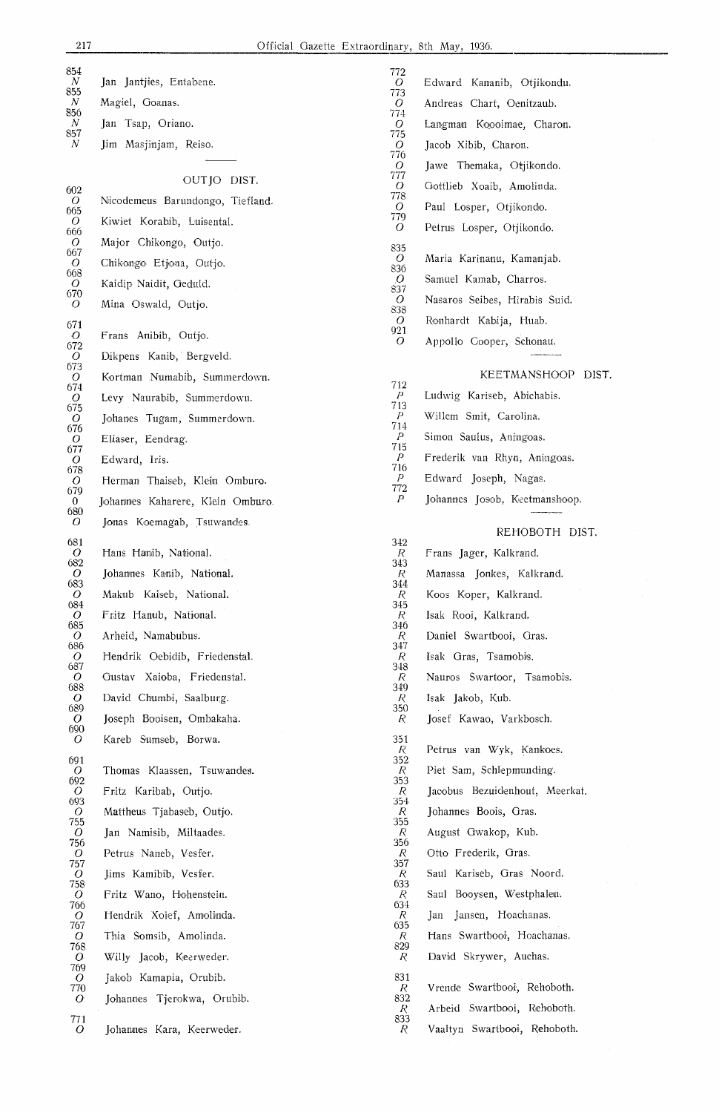| 854<br>$\boldsymbol{N}$ | Jan Jantjies, Entabene.          | 772<br>O                    | Edward Kananib, Otjikondu.     |
|-------------------------|----------------------------------|-----------------------------|--------------------------------|
| 855<br>N                | Magiel, Goanas.                  | 773<br>$\overline{O}$       | Andreas Chart, Oenitzaub.      |
| 856<br>N                | Jan Tsap, Oriano.                | 774<br>O                    | Langman Koooimae, Charon.      |
| 857<br>N                | Jim Masjinjam, Reiso.            | 775<br>O                    | Jacob Xibib, Charon.           |
|                         |                                  | 776                         |                                |
|                         | OUT JO DIST.                     | $\overline{O}$<br>777       | Jawe Themaka, Otjikondo.       |
| 602<br>O                | Nicodemeus Barundongo, Tiefland. | $\overline{O}$<br>778       | Gottlieb Xoaib, Amolinda.      |
| 665<br>O.               | Kiwiet Korabib, Luisental.       | O<br>779                    | Paul Losper, Otjikondo.        |
| 666<br>$\overline{O}$   | Major Chikongo, Outjo.           | O                           | Petrus Losper, Otjikondo.      |
| 667<br>$\overline{O}$   | Chikongo Etjona, Outjo.          | 835<br>0                    | Maria Karinanu, Kamanjab.      |
| 668<br>$\overline{O}$   | Kaidip Naidit, Geduld.           | 836<br>O                    | Samuel Kamab, Charros.         |
| 670<br>$\overline{O}$   | Mina Oswald, Outjo.              | 837<br>O                    | Nasaros Seibes, Hirabis Suid.  |
|                         |                                  | 838<br>O                    | Ronhardt Kabija, Huab.         |
| 671<br>$\bm{O}$         | Frans Anibib, Outjo.             | 921<br>O                    | Appollo Cooper, Schonau.       |
| 672<br>O                | Dikpens Kanib, Bergveld.         |                             |                                |
| 673<br>O                | Kortman Numabib, Summerdown.     |                             | KEETMANSHOOP DIST.             |
| 674<br>O                | Levy Naurabib, Summerdown.       | 712<br>Ρ                    | Ludwig Kariseb, Abichabis.     |
| 675<br>$\overline{O}$   | Johanes Tugam, Summerdown.       | 713<br>$\,P$                | Willem Smit, Carolina.         |
| 676<br>O                | Eliaser, Eendrag.                | $714\,$<br>$\boldsymbol{P}$ | Simon Saulus, Aningoas.        |
| 677<br>$\overline{O}$   | Edward, Iris.                    | 715<br>$\mathcal{P}$        | Frederik van Rhyn, Aningoas.   |
| 678<br>$\overline{O}$   | Herman Thaiseb, Klein Omburo.    | 716<br>$\overline{P}$       | Edward Joseph, Nagas.          |
| 679<br>$\bf{0}$         | Johannes Kaharere, Klein Omburo. | 772<br>P                    | Johannes Josob, Keetmanshoop.  |
| 680<br>O                | Jonas Koemagab, Tsuwandes.       |                             |                                |
| 681                     |                                  | 342                         | REHOBOTH DIST.                 |
| $\overline{O}$<br>682   | Hans Hanib, National.            | R<br>343                    | Frans Jager, Kalkrand.         |
| O<br>683                | Johannes Kanib, National.        | R<br>344                    | Manassa Jonkes, Kalkrand.      |
| O<br>684                | Makub Kaiseb, National.          | R<br>345                    | Koos Koper, Kalkrand.          |
| ${\cal O}$              | Fritz Hanub, National.           | $\cal R$<br>346             | Isak Rooi, Kalkrand.           |
| 685<br>O                | Arheid, Namabubus.               | R.                          | Daniel Swartbooi, Gras.        |
| 686<br>$\overline{O}$   | Hendrik Oebidib, Friedenstal.    | 347<br>R                    | Isak Gras, Tsamobis.           |
| 687<br>$\bm{O}$         | Gustav Xaioba, Friedenstal.      | 348<br>ĸ.                   | Nauros Swartoor, Tsamobis.     |
| 688<br>$\overline{O}$   | David Chumbi, Saalburg.          | 349<br>R.                   | Isak Jakob, Kub.               |
| 689<br>$\overline{O}$   | Joseph Booisen, Ombakaha.        | 350<br>R                    | Josef Kawao, Varkbosch.        |
| 690<br>$\overline{O}$   | Kareb Sumseb, Borwa.             | 351                         |                                |
| 691                     |                                  | R<br>352                    | Petrus van Wyk, Kankoes.       |
| $\overline{O}$<br>692   | Thomas Klaassen, Tsuwandes.      | R.<br>353                   | Piet Sam, Schlepmunding.       |
| $\overline{O}$<br>693   | Fritz Karibab, Outjo.            | R<br>354                    | Jacobus Bezuidenhout, Meerkat. |
| $\overline{O}$<br>755   | Mattheus Tjabaseb, Outjo.        | R<br>355                    | Johannes Boois, Gras.          |
| $\overline{O}$<br>756   | Jan Namisib, Miltaades.          | R<br>356                    | August Gwakop, Kub.            |
| $\overline{O}$<br>757   | Petrus Naneb, Vesfer.            | R<br>357                    | Otto Frederik, Gras.           |
| $\overline{O}$<br>758   | Jims Kamibib, Vesfer.            | K.<br>633                   | Saul Kariseb, Gras Noord.      |
| $\overline{O}$<br>766   | Fritz Wano, Hohenstein.          | R<br>634                    | Saul Booysen, Westphalen.      |
| $\overline{O}$<br>767   | Hendrik Xoief, Amolinda.         | R<br>635                    | Jan Jansen, Hoachanas.         |
| $\overline{O}$<br>768   | Thia Somsib, Amolinda.           | R<br>829                    | Hans Swartbooi, Hoachanas.     |
| $\bm{O}$<br>769         | Willy Jacob, Keerweder.          | R                           | David Skrywer, Auchas.         |
| $\overline{O}$<br>770   | Jakob Kamapia, Orubib.           | 831<br>R                    | Vrende Swartbooi, Rehoboth.    |
| $\overline{O}$          | Johannes Tjerokwa, Orubib.       | 832<br>R                    | Arbeid Swartbooi, Rehoboth.    |
| 771<br>$O_{\cdot}$      | Johannes Kara, Keerweder.        | 833<br>R                    | Vaaltyn Swartbooi, Rehoboth.   |
|                         |                                  |                             |                                |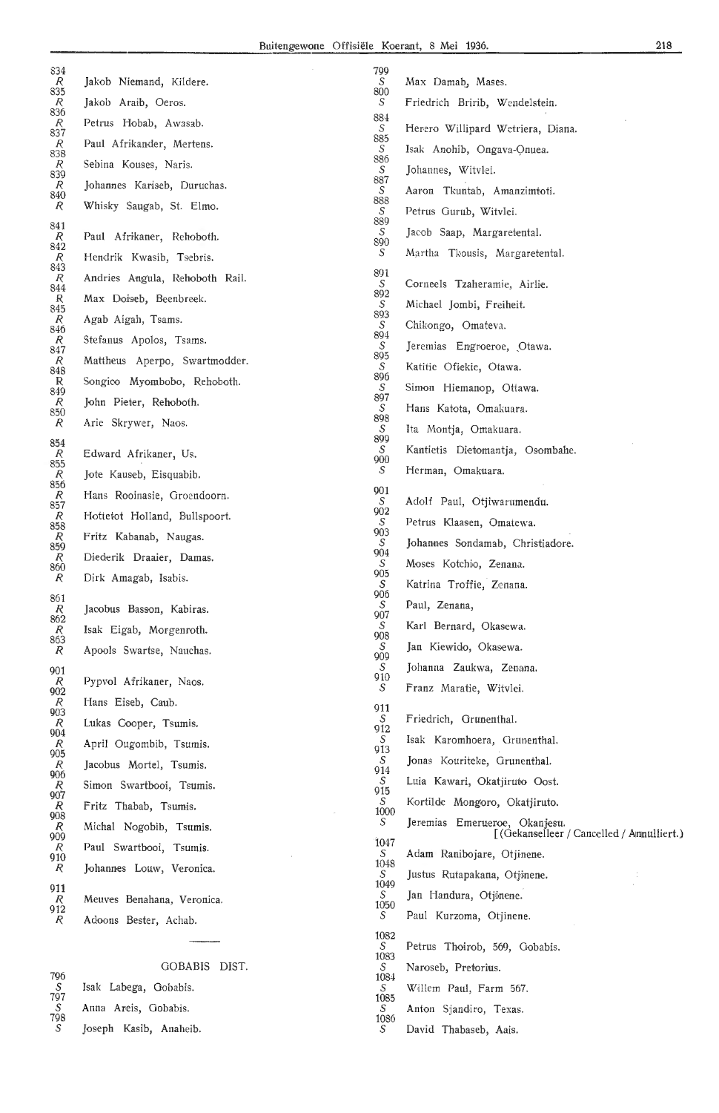| 834                                                   |                                | 799       |                                                                            |
|-------------------------------------------------------|--------------------------------|-----------|----------------------------------------------------------------------------|
| $\begin{array}{c} R \ 835 \end{array}$                | Jakob Niemand, Kildere.        | S<br>800  | Max Damab, Mases.                                                          |
| $\begin{array}{c} R \\ 836 \end{array}$               | Jakob Araib, Oeros.            | S<br>884  | Friedrich Bririb, Wendelstein.                                             |
| $\frac{R}{837}$                                       | Petrus Hobab, Awasab.          | S         | Herero Willipard Wetriera, Diana.                                          |
| $rac{R}{838}$                                         | Paul Afrikander, Mertens.      | 885<br>S  | Isak Anohib, Ongava-Onuea.                                                 |
| $\frac{R}{839}$                                       | Sebina Kouses, Naris.          | 886<br>S  | Johannes, Witvlei.                                                         |
| $\mathcal{R}$<br>840                                  | Johannes Kariseb, Duruchas.    | 887<br>S  | Aaron Tkuntab, Amanzimtoti.                                                |
| $\overline{R}$                                        | Whisky Saugab, St. Elmo.       | 888<br>S  | Petrus Gurub, Witvlei.                                                     |
| 841                                                   | Paul Afrikaner, Rehoboth.      | 889<br>S  | Jacob Saap, Margaretental.                                                 |
| $\begin{array}{c} R \\ 842 \end{array}$               |                                | 890<br>S  | Martha Tkousis, Margaretental.                                             |
| $\overline{R}$<br>843                                 | Hendrik Kwasib, Tsebris.       | 891       |                                                                            |
| $\frac{R}{844}$                                       | Andries Angula, Rehoboth Rail. | S.<br>892 | Corneels Tzaheramie, Airlie.                                               |
| $R$ 845                                               | Max Doiseb, Beenbreek.         | S<br>893  | Michael Jombi, Freiheit.                                                   |
| $\begin{array}{c} R \\ 846 \end{array}$               | Agab Aigah, Tsams.             | S<br>894  | Chikongo, Omateva.                                                         |
| $\frac{R}{847}$                                       | Stefanus Apolos, Tsams.        | S<br>895  | Jeremias Engroeroe, Otawa.                                                 |
| $\begin{array}{c} R \\ 848 \end{array}$               | Mattheus Aperpo, Swartmodder.  | S         | Katitie Ofiekie, Otawa.                                                    |
| R<br>849                                              | Songico Myombobo, Rehoboth.    | 896<br>S. | Simon Hiemanop, Ottawa.                                                    |
| $\mathcal{R}$<br>850                                  | John Pieter, Rehoboth.         | 897<br>S  | Hans Katota, Omakuara.                                                     |
| $\mathcal{R}$                                         | Arie Skrywer, Naos.            | 898<br>S  | Ita Montja, Omakuara.                                                      |
| 854                                                   | Edward Afrikaner, Us.          | 899<br>S  | Kantietis Dietomantja, Osombahe.                                           |
| $\begin{array}{c} R \\ 855 \end{array}$<br>${\cal R}$ | Jote Kauseb, Eisquabib.        | 900<br>S  | Herman, Omakuara.                                                          |
| 856                                                   | Hans Rooinasie, Groendoorn.    | 901       |                                                                            |
| $\begin{array}{c} R \ 857 \end{array}$                |                                | S<br>902  | Adolf Paul, Otjiwarumendu.                                                 |
| $\begin{array}{c} R \ 858 \end{array}$                | Hottetot Holland, Bullspoort.  | S<br>903  | Petrus Klaasen, Omatewa.                                                   |
| R<br>859                                              | Fritz Kabanab, Naugas.         | S<br>904  | Johannes Sondamab, Christiadore.                                           |
| $\overline{R}$<br>860                                 | Diederik Draaier, Damas.       | S<br>905  | Moses Kotchio, Zenana.                                                     |
| R                                                     | Dirk Amagab, Isabis.           | S<br>906  | Katrina Troffie, Zenana.                                                   |
| 861<br>$\begin{array}{c} R \ 862 \end{array}$         | Jacobus Basson, Kabiras.       |           | Paul, Zenana,                                                              |
|                                                       | Isak Eigab, Morgenroth.        | 907<br>S  | Karl Bernard, Okasewa.                                                     |
| $R$ 863<br>$\mathcal{R}$                              | Apools Swartse, Nauchas.       | 908<br>S  | Jan Kiewido, Okasewa.                                                      |
| 901                                                   |                                | 909<br>S  | Johanna Zaukwa, Zenana.                                                    |
| $\frac{R}{902}$                                       | Pypvol Afrikaner, Naos.        | 910<br>S  | Franz Maratie, Witvlei.                                                    |
|                                                       | Hans Eiseb, Caub.              | 911       |                                                                            |
|                                                       | Lukas Cooper, Tsumis.          | S<br>912  | Friedrich, Grunenthal.                                                     |
| $R$<br>903<br>904<br>905<br>905                       | April Ougombib, Tsumis.        | S.<br>913 | Isak Karomhoera, Grunenthal.                                               |
| $rac{R}{906}$                                         | Jacobus Mortel, Tsumis.        | S<br>914  | Jonas Kouriteke, Grunenthal.                                               |
| $\frac{R}{907}$                                       | Simon Swartbooi, Tsumis.       | S.<br>915 | Luia Kawari, Okatjiruto Oost.                                              |
| $\begin{array}{c} R \ 908 \end{array}$                | Fritz Thabab, Tsumis.          | S<br>1000 | Kortilde Mongoro, Okatjiruto.                                              |
| $\frac{R}{909}$                                       | Michal Nogobib, Tsumis.        | S         | Jeremias Emerueroe, Okanjesu.<br>[(Gekanselleer / Cancelled / Amnulliert.) |
| R                                                     | Paul Swartbooi, Tsumis.        | 1047<br>S | Adam Ranibojare, Otjinene.                                                 |
| 910<br>R                                              | Johannes Louw, Veronica.       | 1048      |                                                                            |
| 911                                                   |                                | S<br>1049 | Justus Rutapakana, Otjinene.                                               |
| $\overline{R}$<br>912                                 | Meuves Benahana, Veronica.     | S<br>1050 | Jan Handura, Otjinene.                                                     |
| R                                                     | Adoons Bester, Achab.          | S         | Paul Kurzoma, Otjinene.                                                    |
|                                                       |                                | 1082<br>S | Petrus Thoirob, 569, Gobabis.                                              |
|                                                       | GOBABIS DIST.                  | 1083<br>S | Naroseb, Pretorius.                                                        |
| 796<br>S                                              | Isak Labega, Gobabis.          | 1084<br>S | Willem Paul, Farm 567.                                                     |
| 797<br>$\mathcal{S}$                                  | Anna Areis, Gobabis.           | 1085<br>S | Anton Sjandiro, Texas.                                                     |
| 798<br>$\mathcal{S}$                                  | Joseph Kasib, Anaheib.         | 1086<br>S | David Thabaseb, Aais.                                                      |
|                                                       |                                |           |                                                                            |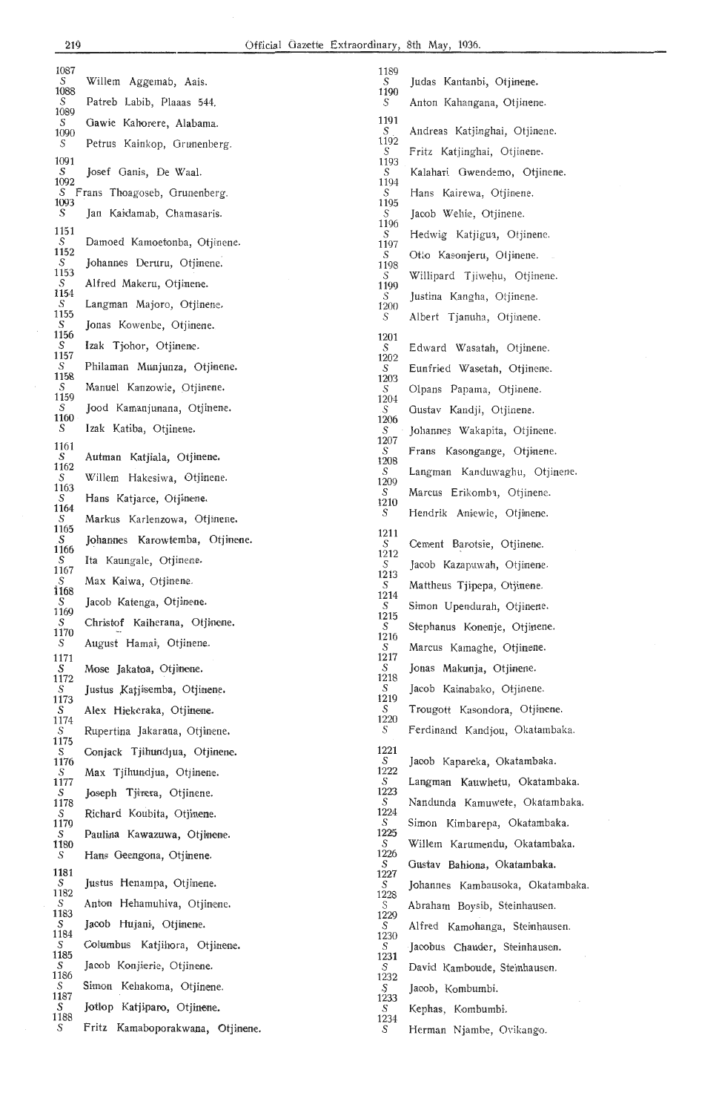| 1087<br>S                  | Willem Aggemab, Aais.            | 1189<br>S        | Judas Kantanbi, Otjinene.        |
|----------------------------|----------------------------------|------------------|----------------------------------|
| 1088<br>S                  | Patreb Labib, Plaaas 544.        | 1190             | Anton Kahangana, Otjinene.       |
| 1089<br>S                  | Gawie Kahorere, Alabama.         | S<br>1191        |                                  |
| 1090<br>S                  | Petrus Kainkop, Grunenberg.      | S<br>1192        | Andreas Katjinghai, Otjinene.    |
| 1091                       |                                  | S<br>1193        | Fritz Katjinghai, Otjinene.      |
| S<br>1092                  | Josef Ganis, De Waal.            | S<br>1194        | Kalahari Gwendemo, Otjinene.     |
| 1093                       | S Frans Thoagoseb, Grunenberg.   | S<br>1195        | Hans Kairewa, Otjinene.          |
| S                          | Jan Kaidamab, Chamasaris.        | S<br>1196        | Jacob Wehie, Otjinene.           |
| 1151<br>S                  | Damoed Kamoetonba, Otjinene.     | S<br>1197        | Hedwig Katjigua, Otjinene.       |
| 1152<br>S                  | Johannes Deruru, Otjinene.       | S<br>1198        | Otto Kasonjeru, Otjinene.        |
| 1153<br>S                  | Alfred Makeru, Otjinene.         | S<br>1199        | Willipard Tjiwehu, Otjinene.     |
| 1154<br>S                  | Langman Majoro, Otjinene.        | S                | Justina Kangha, Otjinene.        |
| 1155<br>S                  | Jonas Kowenbe, Otjinene.         | 1200<br>S        | Albert Tjanuha, Otjinene.        |
| 1156<br>S                  | Izak Tjohor, Otjinene.           | 1201             |                                  |
| 1157<br>S                  |                                  | S<br>1202        | Edward Wasatah, Otjinene.        |
| 1158                       | Philaman Munjunza, Otjinene.     | S<br>1203        | Eunfried Wasetah, Otjinene.      |
| S<br>1159                  | Manuel Kanzowie, Otjinene.       | S<br>1204        | Olpans Papama, Otjinene.         |
| S<br>1160                  | Jood Kamanjunana, Otjinene.      | S<br>1206        | Gustav Kandji, Otjinene.         |
| S                          | Izak Katiba, Otjinene.           | S<br>1207        | Johannes Wakapita, Otjinene.     |
| 1161<br>S                  | Autman Katjiala, Otjinene.       | S<br>1208        | Frans Kasongange, Otjinene.      |
| 1162<br>S                  | Willem Hakesiwa, Otjinene.       | S<br>1209        | Langman Kanduwaghu, Otjinene.    |
| 1163<br>S                  | Hans Katjarce, Otjinene.         | S                | Marcus Erikomba, Otjinene.       |
| 1164<br>S                  | Markus Karlenzowa, Otjinene.     | 1210<br>S        | Hendrik Aniewie, Otjinene.       |
| 1165<br>S                  | Johannes Karowtemba, Otjinene.   | 1211             |                                  |
| 1166<br>S                  | Ita Kaungale, Otjinene.          | S<br>1212        | Cement Barotsie, Otjinene.       |
| 1167                       |                                  | S<br>1213        | Jacob Kazapuwah, Otjinene.       |
| S<br>1168                  | Max Kaiwa, Otjinene.             | S<br>1214        | Mattheus Tjipepa, Otjinene.      |
| S<br>1169                  | Jacob Katenga, Otjinene.         | S<br>1215        | Simon Upendurah, Otjinene.       |
| S<br>1170                  | Christof Kaiherana, Otjinene.    | S<br>1216        | Stephanus Konenje, Otjinene.     |
| S<br>1171                  | August Hamai, Otjinene.          | S<br>1217        | Marcus Kamaghe, Otjinene.        |
| $\frac{S}{1172}$           | Mose Jakatoa, Otjinene.          | S<br>1218        | Jonas Makunja, Otjinene.         |
| S<br>1173                  | Justus Katjisemba, Otjinene.     | S<br>1219        | Jacob Kainabako, Otjinene.       |
| S<br>1174                  | Alex Hiekeraka, Otjinene.        | S<br>1220        | Trougott Kasondora, Otjinene.    |
| S<br>1175                  | Rupertina Jakarana, Otjinene.    | S                | Ferdinand Kandjou, Okatambaka.   |
| S<br>1176                  | Conjack Tjihundjua, Otjinene.    | 1221<br>S        | Jacob Kapareka, Okatambaka.      |
| S<br>1177                  | Max Tjihundjua, Otjinene.        | 1222<br>S        | Langman Kauwhetu, Okatambaka.    |
| S<br>1178                  | Joseph Tjinera, Otjinene.        | 1223<br>S        | Nandunda Kamuwete, Okatambaka.   |
| $\overset{\text{S}}{1179}$ | Richard Koubita, Otjinene.       | 1224<br>S        | Simon Kimbarepa, Okatambaka.     |
| S<br>1180                  | Paulina Kawazuwa, Otjinene.      | 1225<br>S        | Willem Karumendu, Okatambaka.    |
| S                          | Hans Geengona, Otjinene.         | 1226<br>S        | Gustav Bahiona, Okatambaka.      |
| 1181<br>S                  | Justus Henampa, Otjinene.        | 1227<br>S        | Johannes Kambausoka, Okatambaka. |
| 1182<br>S                  | Anton Hehamuhiva, Otjinene.      | 1228             |                                  |
| 1183<br>S                  | Jacob Hujani, Otjinene.          | 1229             | Abraham Boysib, Steinhausen.     |
| 1184<br>S                  |                                  | S<br>1230        | Alfred Kamohanga, Steinhausen.   |
| 1185                       | Columbus Katjihora, Otjinene.    | S<br>1231        | Jacobus Chauder, Steinhausen.    |
| S<br>1186                  | Jacob Konjierie, Otjinene.       | S<br>1232        | David Kamboude, Steinhausen.     |
| S<br>1187                  | Simon Kehakoma, Otjinene.        | $\frac{S}{1233}$ | Jacob, Kombumbi.                 |
| S<br>1188                  | Jotlop Katjiparo, Otjinene.      | S<br>1234        | Kephas, Kombumbi.                |
| $\boldsymbol{S}$           | Fritz Kamaboporakwana, Otjinene. | S                | Herman Njambe, Ovikango.         |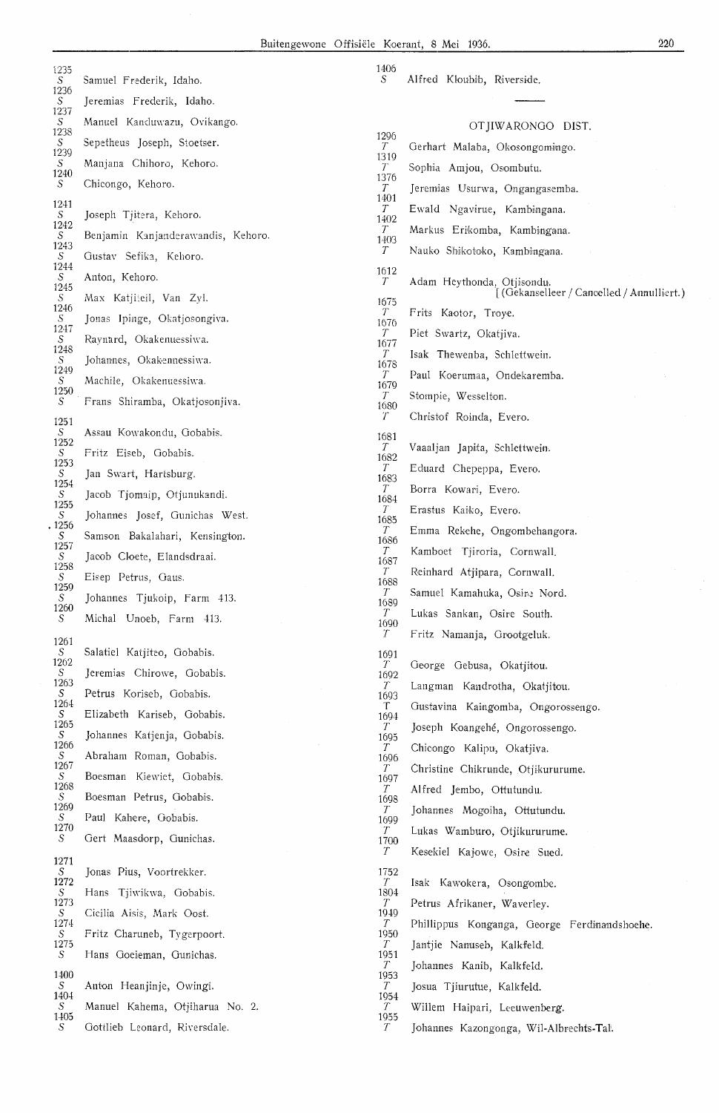| 1235                |                                    | 1406                    |                                              |
|---------------------|------------------------------------|-------------------------|----------------------------------------------|
| S<br>1236           | Samuel Frederik, Idaho.            | S                       | Alfred Kloubib, Riverside.                   |
| $S_{-}$<br>1237     | Jeremias Frederik, Idaho.          |                         |                                              |
| S<br>1238           | Manuel Kanduwazu, Ovikango.        |                         | OTJIWARONGO DIST.                            |
| S<br>1239           | Sepetheus Joseph, Stoetser.        | 1296<br>$T_{-}$         | Gerhart Malaba, Okosongomingo.               |
| S                   | Manjana Chihoro, Kehoro.           | 1319<br>$T_{-}$         | Sophia Amjou, Osombutu.                      |
| 1240<br>S           | Chicongo, Kehoro.                  | 1376<br>T               | Jeremias Usurwa, Ongangasemba.               |
| 1241                |                                    | 1401<br>$T_{-}$         | Ewald Ngavirue, Kambingana.                  |
| S.<br>1242          | Joseph Tjitera, Kehoro.            | 1402<br>$T_{-}$         |                                              |
| S<br>1243           | Benjamin Kanjanderawandis, Kehoro. | 1403                    | Markus Erikomba, Kambingana.                 |
| S<br>1244           | Gustav Sefika, Kehoro.             | $T_{-}$                 | Nauko Shikotoko, Kambingana.                 |
| $\cal S$            | Anton, Kehoro.                     | 1612<br>$T_{-}$         | Adam Heythonda, Otjisondu.                   |
| 1245<br>$S_{\cdot}$ | Max Katjiteil, Van Zyl.            | 1675                    | [(Gekanselleer / Cancelled / Annulliert.)    |
| 1246<br>$S_{-}$     | Jonas Ipinge, Okatjosongiva.       | $T_{-}$<br>1676         | Frits Kaotor, Troye.                         |
| 1247<br>S           | Raynard, Okakenuessiwa.            | $T_{-}$                 | Piet Swartz, Okatjiva.                       |
| 1248<br>S           | Johannes, Okakennessiwa.           | 1677<br>T.              | Isak Thewenba, Schlettwein.                  |
| 1249<br>S           | Machile, Okakenuessiwa.            | 1678<br>$T_{-}$         | Paul Koerumaa, Ondekaremba.                  |
| 1250                |                                    | 1679<br>T.              | Stompie, Wesselton.                          |
| S                   | Frans Shiramba, Okatjosonjiva.     | 1680<br>$T_{-}$         | Christof Roinda, Evero.                      |
| 1251<br>S           | Assau Kowakondu, Gobabis.          | 1681                    |                                              |
| 1252<br>S           | Fritz Eiseb, Gobabis.              | $T_{-}$                 | Vaaaljan Japita, Schlettwein.                |
| 1253<br>S           | Jan Swart, Hartsburg.              | 1682<br>T               | Eduard Chepeppa, Evero.                      |
| 1254                |                                    | 1683<br>$T_{-}$         | Borra Kowari, Evero.                         |
| S<br>1255           | Jacob Tjomaip, Otjunukandi.        | 1684<br>T               | Erastus Kaiko, Evero.                        |
| $S_{-}$<br>1256     | Johannes Josef, Gunichas West.     | 1685<br>$T_{-}$         | Emma Rekehe, Ongombehangora.                 |
| S<br>1257           | Samson Bakalahari, Kensington.     | 1686                    |                                              |
| S<br>1258           | Jacob Cloete, Elandsdraai.         | T.<br>1687              | Kamboet Tjiroria, Cornwall.                  |
| S.<br>1259          | Eisep Petrus, Gaus.                | $T_{-}$<br>1688         | Reinhard Atjipara, Cornwall.                 |
| S                   | Johannes Tjukoip, Farm 413.        | T<br>1689               | Samuel Kamahuka, Osine Nord.                 |
| 1260<br>S           | Michal Unoeb, Farm 413.            | $\overline{T}$<br>1690  | Lukas Sankan, Osire South.                   |
| 1261                |                                    | $T_{-}$                 | Fritz Namanja, Grootgeluk.                   |
| S<br>1262           | Salatiel Katjiteo, Gobabis.        | 1691                    |                                              |
| S                   | Jeremias Chirowe, Gobabis.         | $T_{-}$<br>1692         | George Gebusa, Okatjitou.                    |
| 1263<br>S.          | Petrus Koriseb, Gobabis.           | $T_{-}$<br>1693         | Langman Kandrotha, Okatjitou.                |
| 1264<br>S           | Elizabeth Kariseb, Gobabis.        | T.<br>1694              | Gustavina Kaingomba, Ongorossengo.           |
| 1265<br>S           | Johannes Katjenja, Gobabis.        | $T_{-}$<br>1695         | Joseph Koangehé, Ongorossengo.               |
| 1266<br>S           | Abraham Roman, Gobabis.            | $T_{-}$<br>1696         | Chicongo Kalipu, Okatjiva.                   |
| 1267<br>S           | Boesman Kiewiet, Gobabis.          | T.                      | Christine Chikrunde, Otjikururume.           |
| 1268<br>S           |                                    | 1697<br>T               | Alfred Jembo, Ottutundu.                     |
| 1269                | Boesman Petrus, Gobabis.           | 1698<br>T               | Johannes Mogoiha, Ottutundu.                 |
| S.<br>1270          | Paul Kahere, Gobabis.              | 1699<br>$T_{-}$         | Lukas Wamburo, Otjikururume.                 |
| S                   | Gert Maasdorp, Gunichas.           | 1700<br>$T_{\parallel}$ | Kesekiel Kajowe, Osire Sued.                 |
| 1271<br>S           | Jonas Pius, Voortrekker.           | 1752                    |                                              |
| 1272                |                                    | $\mathcal{T}$           | Isak Kawokera, Osongombe.                    |
| S<br>1273           | Hans Tjiwikwa, Gobabis.            | 1804<br>$T_{-}$         | Petrus Afrikaner, Waverley.                  |
| S<br>1274           | Cicilia Aisis, Mark Oost.          | 1919<br>$T_{-}$         | Phillippus Konganga, George Ferdinandshoehe. |
| S<br>1275           | Fritz Charuneb, Tygerpoort.        | 1950<br>$T_{-}$         | Jantjie Nanuseb, Kalkfeld.                   |
| S.                  | Hans Goeieman, Gunichas.           | 1951<br>$T_{\parallel}$ | Johannes Kanib, Kalkfeld.                    |
| 1400                |                                    | 1953                    |                                              |
| S<br>1404           | Anton Heanjinje, Owingi.           | T<br>1954               | Josua Tjiurutue, Kalkfeld.                   |
| S.<br>1405          | Manuel Kahema, Otjiharua No. 2.    | T<br>1955               | Willem Haipari, Leeuwenberg.                 |
| S                   | Gottlieb Leonard, Riversdale.      | $\mathcal{T}$           | Johannes Kazongonga, Wil-Albrechts-Tal.      |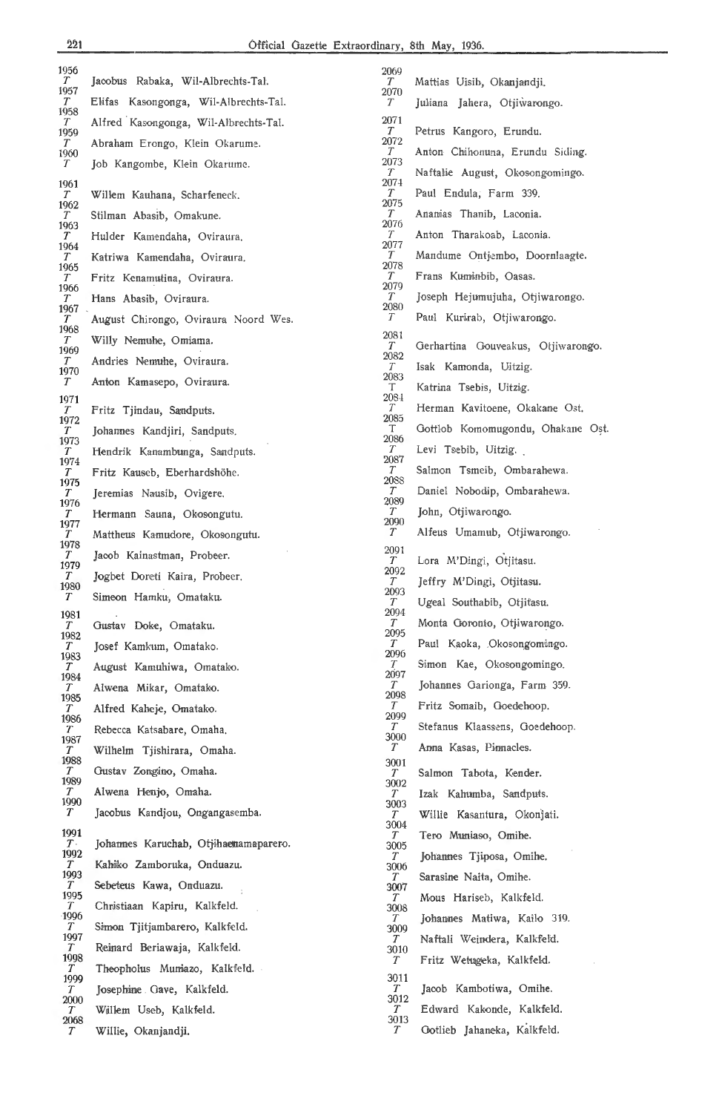| 1956                                  |                                       | 2069                     |                                    |
|---------------------------------------|---------------------------------------|--------------------------|------------------------------------|
| $\boldsymbol{T}$<br>1957              | Jacobus Rabaka, Wil-Albrechts-Tal.    | T.<br>2070               | Mattias Uisib, Okanjandji.         |
| $T_{\parallel}$<br>1958               | Elifas Kasongonga, Wil-Albrechts-Tal. | T                        | Juliana Jahera, Otjiwarongo.       |
| $\tau$<br>1959                        | Alfred Kasongonga, Wil-Albrechts-Tal. | 2071<br>T                | Petrus Kangoro, Erundu.            |
| $\left\langle T\right\rangle$<br>1960 | Abraham Erongo, Klein Okarume.        | 2072<br>T                | Anton Chihonuna, Erundu Siding.    |
| $\tau$                                | Job Kangombe, Klein Okarume.          | 2073<br>T.<br>2074       | Naftalie August, Okosongomingo.    |
| 1961<br>$\boldsymbol{T}$              | Willem Kauhana, Scharfeneck.          | T.                       | Paul Endula, Farm 339.             |
| 1962<br>$\left\langle T\right\rangle$ | Stilman Abasib, Omakune.              | 2075<br>T.               | Anamias Thanib, Laconia.           |
| 1963<br>$\left\langle T\right\rangle$ | Hulder Kamendaha, Oviraura.           | 2076<br>T                | Anton Tharakoab, Laconia.          |
| 1964<br>$\boldsymbol{T}$              | Katriwa Kamendaha, Oviraura.          | 2077<br>T                | Mandume Ontjembo, Doornlaagte.     |
| 1965<br>$T_{\parallel}$               | Fritz Kenamutina, Oviraura.           | 2078<br>T                | Frans Kuminbib, Oasas.             |
| 1966<br>$\boldsymbol{T}$              | Hans Abasib, Oviraura.                | 2079<br>T                | Joseph Hejumujuha, Otjiwarongo.    |
| 1967<br>$\overline{T}$                | August Chirongo, Oviraura Noord Wes.  | 2080<br>T                | Paul Kurirab, Otjiwarongo.         |
| 1968<br>$\boldsymbol{T}$              | Willy Nemuhe, Omiama.                 | 2081                     |                                    |
| 1969<br>$\left\langle T\right\rangle$ | Andries Nemuhe, Oviraura.             | $T_{\parallel}$<br>2082  | Gerhartina Gouveakus, Otjiwarongo. |
| 1970<br>$T_{\parallel}$               | Anton Kamasepo, Oviraura.             | T<br>2083                | Isak Kamonda, Uitzig.              |
| 1971                                  |                                       | T.<br>2084               | Katrina Tsebis, Uitzig.            |
| $\overline{T}$<br>1972                | Fritz Tjindau, Sandputs.              | T<br>2085                | Herman Kavitoene, Okakane Ost.     |
| $T_{\parallel}$<br>1973               | Johannes Kandjiri, Sandputs.          | T.<br>2086               | Gottlob Komomugondu, Ohakane Ost.  |
| T<br>1974                             | Hendrik Kanambunga, Sandputs.         | T<br>2087                | Levi Tsebib, Uitzig.               |
| $\overline{T}$<br>1975                | Fritz Kauseb, Eberhardshöhe.          | T<br>2088                | Salmon Tsmeib, Ombarahewa.         |
| T<br>1976                             | Jeremias Nausib, Ovigere.             | T.<br>2089               | Daniel Nobodip, Ombarahewa.        |
| $\overline{T}$<br>1977                | Hermann Sauna, Okosongutu.            | T<br>2090                | John, Otjiwarongo.                 |
| $T_{\parallel}$                       | Mattheus Kamudore, Okosongutu.        | $T_{\parallel}$          | Alfeus Umamub, Otjiwarongo.        |
| 1978<br>$\overline{T}$                | Jacob Kainastman, Probeer.            | 2091<br>T                | Lora M'Dingi, Otjitasu.            |
| 1979<br>T.                            | Jogbet Doreti Kaira, Probeer.         | 2092<br>T                | Jeffry M'Dingi, Otjitasu.          |
| 1980<br>$T_{\parallel}$               | Simeon Hamku, Omataku.                | 2093<br>$T_{\parallel}$  | Ugeal Southabib, Otjitasu.         |
| 1981<br>$\overline{T}$                |                                       | 2094<br>$\boldsymbol{T}$ | Monta Goronto, Otjiwarongo.        |
| 1982                                  | Gustav Doke, Omataku.                 | 2095<br>T.               | Paul Kaoka, Okosongomingo.         |
| $\boldsymbol{T}$<br>1983              | Josef Kamkum, Omatako.                | 2096<br>T                | Simon Kae, Okosongomingo.          |
| $\mathcal{T}$<br>1984                 | August Kamuhiwa, Omatako.             | 2097<br>T                | Johannes Garionga, Farm 359.       |
| $T_{\parallel}$<br>1985               | Alwena Mikar, Omatako.                | 2098<br>T                |                                    |
| $T_{\parallel}$<br>1986               | Alfred Kaheje, Omatako.               | 2099                     | Fritz Somaib, Goedehoop.           |
| $T_{\parallel}$<br>1987               | Rebecca Katsabare, Omaha.             | T<br>3000                | Stefanus Klaassens, Goedehoop.     |
| T.<br>1988                            | Wilhelm Tjishirara, Omaha.            | T<br>3001                | Anna Kasas, Pinnacles.             |
| $T_{\parallel}$<br>1989               | Gustav Zongino, Omaha.                | T<br>3002                | Salmon Tabota, Kender.             |
| $T_{\parallel}$<br>1990               | Alwena Henjo, Omaha.                  | T<br>3003                | Izak Kahumba, Sandputs.            |
| $T_{\parallel}$                       | Jacobus Kandjou, Ongangasemba.        | T<br>3004                | Willie Kasantura, Okonjati.        |
| 1991<br>T <sub>1</sub>                | Johannes Karuchab, Otjihaemamaparero. | T<br>3005                | Tero Muniaso, Omihe.               |
| 1992<br>$T_{\parallel}$               | Kahiko Zamboruka, Onduazu.            | T<br>3006                | Johannes Tjiposa, Omihe.           |
| 1993<br>$\tau$                        | Sebeteus Kawa, Onduazu.               | T<br>3007                | Sarasine Naita, Omihe.             |
| 1995<br>$T_{\parallel}$               | Christiaan Kapiru, Kalkfeld.          | T.                       | Mous Hariseb, Kalkfeld.            |
| 1996<br>$\overline{T}$                | Simon Tjitjambarero, Kalkfeld.        | 3008<br>T.               | Johannes Matiwa, Kailo 319.        |
| 1997                                  |                                       | 3009<br>T.               | Naftali Wejndera, Kalkfeld.        |
| $\tau$<br>1998                        | Reimard Beriawaja, Kalkfeld.          | 3010<br>T.               | Fritz Wetugeka, Kalkfeld.          |
| T<br>1999                             | Theopholus Muniazo, Kalkfeld.         | 3011                     |                                    |
| $T_{\parallel}$<br>$2000\,$           | Josephine Gave, Kalkfeld.             | T<br>3012                | Jacob Kambotiwa, Omihe.            |
| T<br>2068                             | Willem Useb, Kalkfeld.                | T<br>3013                | Edward Kakonde, Kalkfeld.          |
| T                                     | Willie, Okanjandji.                   | T.                       | Gotlieb Jahaneka, Kalkfeld.        |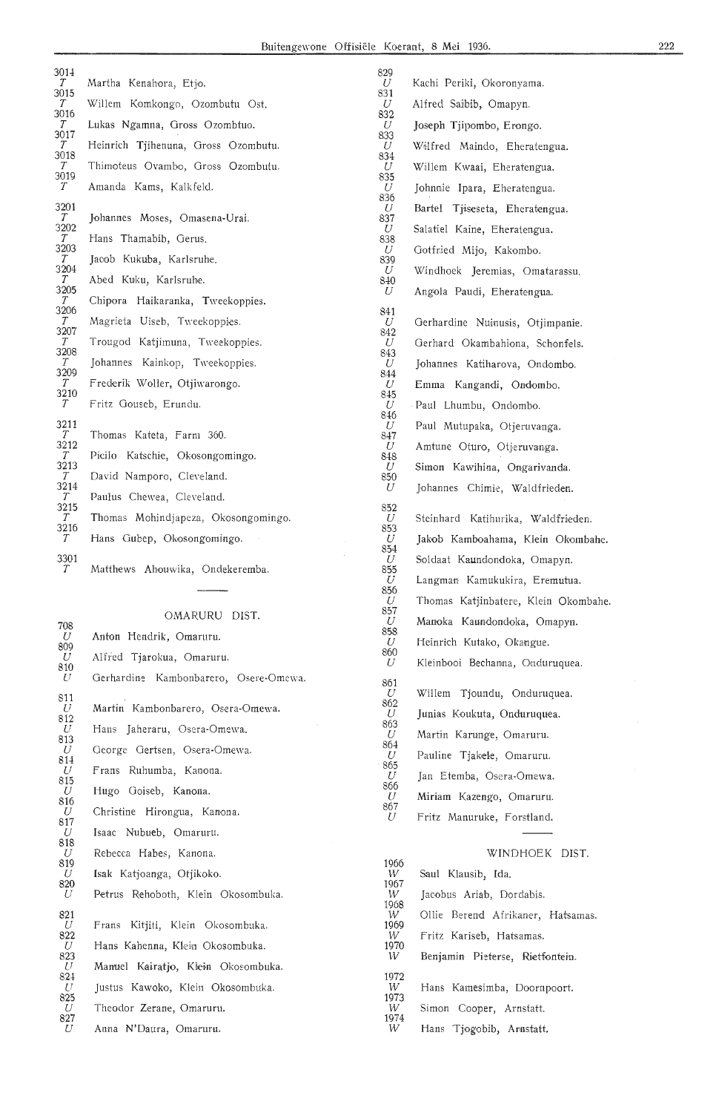831

| JULI<br>$\tau$                                                                                                                      | Martha Kenahora, Etjo.                                                                                                                                                                                                                                                                                         |
|-------------------------------------------------------------------------------------------------------------------------------------|----------------------------------------------------------------------------------------------------------------------------------------------------------------------------------------------------------------------------------------------------------------------------------------------------------------|
| 3015<br>T                                                                                                                           | Willem Komkongo, Ozombutu Ost.                                                                                                                                                                                                                                                                                 |
| 3016<br>Т                                                                                                                           | Lukas Ngamna, Gross Ozombtuo.                                                                                                                                                                                                                                                                                  |
| 3017<br>T                                                                                                                           | Heinrich Tjihenuna, Gross Ozombutu.                                                                                                                                                                                                                                                                            |
| 3018<br>Т<br>3019                                                                                                                   | Thimoteus Ovambo, Gross Ozombutu.                                                                                                                                                                                                                                                                              |
| $\mathcal T$                                                                                                                        | Amanda Kams, Kalkfeld.                                                                                                                                                                                                                                                                                         |
| 3201<br>Т<br>3202<br>T<br>3203<br>Т<br>3204<br>T<br>3205<br>T<br>3206<br>T<br>3207<br>Т<br>3208<br>T<br>3209<br>Т<br>3210<br>$\tau$ | Johannes Moses, Omasena-Urai.<br>Hans Thamabib, Gerus.<br>Jacob Kukuba, Karlsruhe.<br>Abed Kuku, Karlsruhe.<br>Chipora Haikaranka, Tweekoppies.<br>Magrieta Uiseb, Tweekoppies.<br>Trougod Katjimuna, Tweekoppies.<br>Johannes Kainkop, Tweekoppies.<br>Frederik Woller, Otjiwarongo.<br>Fritz Gouseb, Erundu. |
| 3211<br>T<br>3212<br>T<br>3213<br>T<br>3214<br>T<br>3215<br>T<br>3216<br>T                                                          | Thomas Kateta, Farm 360.<br>Picilo Katschie, Okosongomingo.<br>David Namporo, Cleveland.<br>Paulus Chewea, Cleveland.<br>Thomas Mohindjapeza, Okosongomingo.<br>Hans Gubep, Okosongomingo.                                                                                                                     |
| 3301<br>T                                                                                                                           | Matthews Ahouwika, Ondekeremba.                                                                                                                                                                                                                                                                                |

 $201-1$ 

OMARURU DIST.

| 708             | **********                            |  |  |
|-----------------|---------------------------------------|--|--|
| U<br>809        | Anton Hendrik, Omaruru.               |  |  |
| U<br>810        | Alfred Tjarokua, Omaruru.             |  |  |
| -U              | Gerhardine Kambonbarero, Osere-Omewa. |  |  |
| 811<br>U<br>812 | Martin Kambonbarero, Osera-Omewa.     |  |  |
| U               | Hans Jaheraru, Osera-Omewa.           |  |  |
| 813<br>U        | George Gertsen, Osera-Omewa.          |  |  |
| 814<br>U        | Frans Ruhumba, Kanona.                |  |  |
| 815<br>U        | Hugo Goiseb, Kanona.                  |  |  |
| 816<br>U        | Christine Hirongua, Kanona.           |  |  |
| 817<br>U        | Isaac Nubueb, Omaruru.                |  |  |
| 818<br>U        | Rebecca Habes, Kanona.                |  |  |
| 819<br>U        | Isak Katioanga, Otjikoko.             |  |  |
| 820<br>U        | Petrus Rehoboth, Klein Okosombuka.    |  |  |
| 821<br>U<br>822 | Frans Kitjiti, Klein Okosombuka.      |  |  |
| U               | Hans Kahenna, Klein Okosombuka.       |  |  |
| 823<br>U        | Manuel Kairatio, Klein Okosombuka.    |  |  |
| 824<br>- U      | Justus Kawoko, Klein Okosombuka.      |  |  |
| 825<br>U        | Theodor Zerane, Omaruru.              |  |  |
| 827<br>U        | Anna N'Daura, Omaruru.                |  |  |

Kachi Periki, Okoronyama. Alfred Saibib, Omapyn. 832 Joseph Tjipombo, Erongo. 833 Wilfred Maindo, Eheratengua. 834 Willem Kwaai, Eheratengua. 835 Johnnie Ipara, Eheratengua. Bartel Tjiseseta, Eheratengua. Salatiel Kaine, Eheratengua. Gotfried Mijo, Kakombo. 839 Windhoek Jeremias, Omatarassu. 840 Angola Paudi, Eheratengua. 841 Gerhardine Nuinusis, Otjimpanie. Gerhard Okambahiona, Schonfels. 843 Johannes Katiharova, Ondombo. 844 Emma Kangandi, Ondombo. Paul Lhumbu, Ondombo. 846 Paul Mutupaka, Otjeruvanga. Amtune Oturo, Otjeruvanga. Simon Kawihina, Ongarivanda. Johannes Chimie, Waldfrieden. 852 Steinhard Katihurika, Waldfrieden. 853 Jakob Kamboahama, Klein Okombahe. 854 Soldaat Kaundondoka, Omapyn. 855 Langman Kamukukira, Eremutua. 856 Thomas Katjinbatere, Klein Okombahe. 857 Manoka Kaundondoka, Omapyn. 858 *U* Heinrich Kutako, Okangue. 860 *U* Kleinbooi Bechanna, Onduruquea. 861 Willem Tjoundu, Onduruquea. 862 Junias Koukuta, Onduruquea. 863 *U* Martin Karunge, Omaruru. 864 Pauline Tjakele, Omaruru. 865 Jan Etemba, Osera-Omewa. 866 Miriam Kazengo, Omaruru. 867 Fritz Manuruke, Forstland. WINDHOEK DIST.  $\frac{1966}{W}$ Saul Klausib, Ida.  $\ddot{w}$ Jacobus Ariab, Dordabis.  $\frac{1968}{W}$ Ollie Berend Afrikaner, Hatsamas.  $\frac{1969}{W}$ Fritz Kariseb, Hatsamas.  $^{1970}_{\;W}$ Benjamin Pieterse, Rietfontein.  $\frac{1972}{W}$ 

Hans Kamesimba, Doornpoort.

Simon Cooper, Arnstatt.

 $\frac{1974}{W}$ Hans Tjogobib, Arnstatt.

 $\frac{1973}{W}$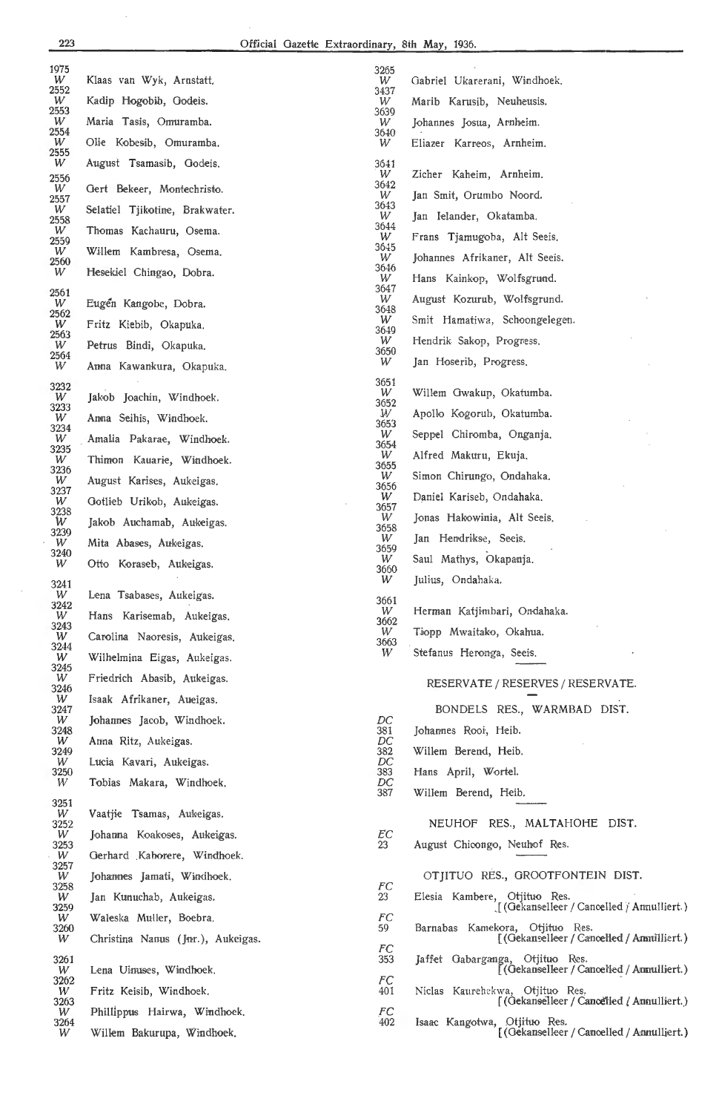| 1975<br>W | Klaas van Wyk, Arnstatt,          | 3265<br>W      | Gabriel Ukarerani, Windhoek.                                                    |
|-----------|-----------------------------------|----------------|---------------------------------------------------------------------------------|
| 2552<br>W | Kadip Hogobib, Godeis.            | 3437<br>W      | Marib Karusib, Neuheusis.                                                       |
| 2553      |                                   | 3639           |                                                                                 |
| W<br>2554 | Maria Tasis, Omuramba.            | W<br>3640      | Johannes Josua, Arnheim.                                                        |
| W<br>2555 | Olie Kobesib, Omuramba.           | W              | Eliazer Karreos, Arnheim.                                                       |
| W<br>2556 | August Tsamasib, Godeis.          | 3641<br>W      | Zicher Kaheim, Arnheim.                                                         |
| W         | Gert Bekeer, Montechristo.        | 3642<br>W      | Jan Smit, Orumbo Noord.                                                         |
| 2557<br>W | Selatiel Tjikotine, Brakwater.    | 3643<br>W      | Jan Ielander, Okatamba.                                                         |
| 2558<br>W | Thomas Kachauru, Osema.           | 3644<br>W      | Frans Tjamugoba, Alt Seeis.                                                     |
| 2559<br>W | Willem Kambresa, Osema.           | 3645           |                                                                                 |
| 2560<br>W | Hesekiel Chingao, Dobra.          | W<br>3646      | Johannes Afrikaner, Alt Seeis.                                                  |
| 2561      |                                   | W<br>3647      | Hans Kainkop, Wolfsgrund.                                                       |
| W<br>2562 | Eugen Kangobe, Dobra.             | W<br>3648      | August Kozurub, Wolfsgrund.                                                     |
| W<br>2563 | Fritz Kiebib, Okapuka.            | W<br>3649      | Smit Hamatiwa, Schoongelegen.                                                   |
| W<br>2564 | Petrus Bindi, Okapuka.            | W<br>3650      | Hendrik Sakop, Progress.                                                        |
| W         | Anna Kawankura, Okapuka.          | W              | Jan Hoserib, Progress.                                                          |
| 3232      |                                   | 3651<br>W      | Willem Gwakup, Okatumba.                                                        |
| W<br>3233 | Jakob Joachin, Windhoek.          | 3652<br>W      | Apollo Kogorub, Okatumba.                                                       |
| W<br>3234 | Anna Seihis, Windhoek.            | 3653<br>W      | Seppel Chiromba, Onganja.                                                       |
| W<br>3235 | Amalia Pakarae, Windhoek.         | 3654<br>W      | Alfred Makuru, Ekuja.                                                           |
| W<br>3236 | Thimon Kauarie, Windhoek.         | 3655           |                                                                                 |
| W<br>3237 | August Karises, Aukeigas.         | W<br>3656      | Simon Chirungo, Ondahaka.                                                       |
| W<br>3238 | Gotlieb Urikob, Aukeigas.         | W<br>3657      | Daniel Kariseb, Ondahaka.                                                       |
| W<br>3239 | Jakob Auchamab, Aukeigas.         | W<br>3658      | Jonas Hakowinia, Alt Seeis.                                                     |
| W<br>3240 | Mita Abases, Aukeigas.            | W<br>3659      | Jan Hendrikse, Seeis.                                                           |
| W         | Otto Koraseb, Aukeigas.           | W<br>3660      | Saul Mathys, Okapanja.                                                          |
| 3241      |                                   | W              | Julius, Ondahaka.                                                               |
| W<br>3242 | Lena Tsabases. Aukeigas.          | 3661<br>W      | Herman Katjimbari, Ondahaka.                                                    |
| W<br>3243 | Hans Karisemab, Aukeigas.         | 3662<br>W      | Tiopp Mwaitako, Okahua.                                                         |
| W<br>3244 | Carolina Naoresis, Aukeigas.      | 3663<br>W      | Stefanus Heronga, Seeis.                                                        |
| W<br>3245 | Wilhelmina Eigas, Aukeigas.       |                |                                                                                 |
| W<br>3246 | Friedrich Abasib, Aukeigas.       |                | RESERVATE / RESERVES / RESERVATE.                                               |
| W<br>3247 | Isaak Afrikaner, Aueigas.         |                | BONDELS RES., WARMBAD DIST.                                                     |
| W<br>3248 | Johannes Jacob, Windhoek.         | DC<br>381      | Johannes Rooi, Heib.                                                            |
| W<br>3249 | Anna Ritz, Aukeigas.              | DC<br>382      | Willem Berend, Heib.                                                            |
| W         | Lucia Kavari, Aukeigas.           | $_{DC}$<br>383 |                                                                                 |
| 3250<br>W | Tobias Makara, Windhoek.          | DC             | Hans April, Wortel.                                                             |
| 3251      |                                   | 387            | Willem Berend, Heib.                                                            |
| W<br>3252 | Vaatjie Tsamas, Aukeigas.         |                | NEUHOF RES., MALTAHOHE DIST.                                                    |
| W<br>3253 | Johanna Koakoses, Aukeigas.       | EС<br>23       | August Chicongo, Neuhof Res.                                                    |
| W<br>3257 | Gerhard Kahorere, Windhoek.       |                |                                                                                 |
| W<br>3258 | Johannes Jamati, Windhoek.        | FC             | OTJITUO RES., GROOTFONTEIN DIST.                                                |
| W<br>3259 | Jan Kunuchab, Aukeigas.           | 23             | Elesia Kambere, Otjituo Res.<br>$\int$ (Gekanselleer / Cancelled / Annulliert.) |
| W<br>3260 | Waleska Muller, Boebra.           | FC<br>59       | Barnabas Kamekora, Otjituo Res.                                                 |
| W         | Christina Nanus (Jnr.), Aukeigas. | FC             | [(Gekanselleer / Cancelled / Ammilliert.)                                       |
| 3261<br>W | Lena Uinuses, Windhoek.           | 353            | Jaffet Gabarganga, Otjituo Res.<br>[(Gekanselleer / Cancelled / Annulliert.)    |
| 3262      |                                   | FC             |                                                                                 |
| W<br>3263 | Fritz Keisib, Windhoek.           | 401            | Niclas Kaurehekwa, Otjituo Res.<br>[(Gekanselleer / Cancelled / Amnulliert.)    |
| W<br>3264 | Phillippus Hairwa, Windhoek.      | FC<br>402      | Isaac Kangotwa, Otjituo Res.                                                    |
| W         | Willem Bakurupa, Windhoek.        |                | [(Gekanselleer / Cancelled / Annulliert.)                                       |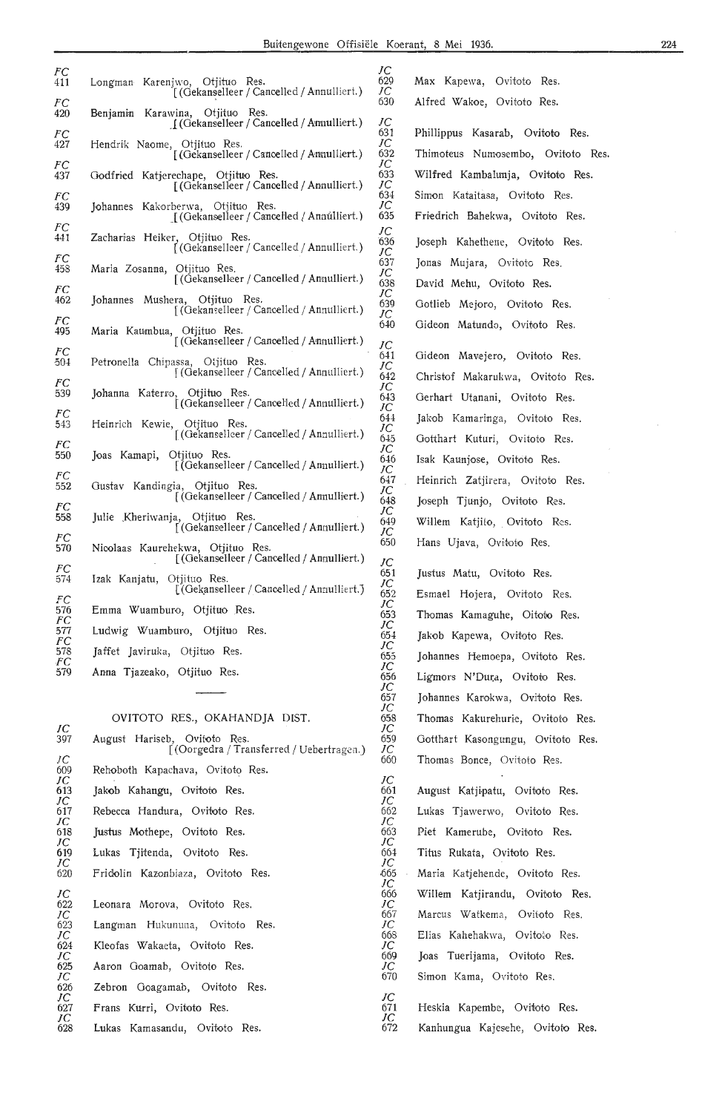*JC*  629 *JC*  630 *JC*  631 *JC*  632 *JC*  633 *JC*  634 *JC*  635 *JC*  636 *JC*  637 *JC*  638  $\widetilde{JC}$ 639  $\overline{I}$ 640 *JC*  641 *JC*   $642$  $\check{J}\tilde{C}$ 643 *JC*  644 *IC*  645 *JC*  646 *JC*  647 *JC*  648 *JC*  649  $\overline{JC}$ 650

Max Kapewa, Ovitoto Res.

*JC*  651 *JC*  652 *JC*  653 *JC*  654 *JC*  655 *JC*  656 *JC*  657 *JC*  658 *JC*  659 *JC*  660 *JC*  661 *JC*  662 *JC*  663 *JC*  664 *JC*  ,665 *JC*  666 *JC*  667  $\breve{J}\breve{C}$ 668 *JC*  669 *JC*  670

*JC*  671 *IC*  672

*FC*  411 *FC*  420 *FC*  427 *FC*  437 *FC*  439 *FC*  441 *FC*  458 *FC*  462 *FC*  495 *FC*  504 *FC*  539 *FC*   $543$ *FC*  550 *FC*  552 *FC*  558 *PC*  570 *FC*  574 *FC*  576 *FC*  577 *FC*  578 *FC*  579 Longman Karenjwo, Otjituo Res.<br>[(Gekanselleer / Cancelled / Annulliert.)] Benjamin Karawina, Otjituo Res. J (Gekanselleer / Cancelled / Ammulliert.) Hendrik Naome, Otjituo Res. [ (Gekanselleer / Cancelled / Annulliert.) Godfried Katjerechape, Otjituo Res.<br>[(Gekanselleer / Cancelled / Annulliert.) ] Johannes Kakorberwa, Otjituo Res. \_[ (Oekans,elleer / CanceHed / Anm:i.llkrt.) Zacharias Heiker, Otjituo Res.<br>[(Gekanselleer/Cancelled/Annulliert.)] Maria Zosanna, Otjituo Res. [ (Gekanselleer / Cancelled / Annulliert.) Johannes Mushera, Otjituo Res. [ (Gekanselleer / Cancelled / Annulliert.) Maria Kaumbua, Otjituo Res. [ (Oekam,elleer / Canoelled / Annulliert.) Petronella Chipassa, Otjituo Res. *[* (Oekans,elleer /Cancelled/ Annulliert.) Johanna Katerro, ), Otjituo Res.<br>[ (Gekanselleer / Cancelled / Annulliert.) Heinrich Kewie, Otjituo Res. [ (Gekanselleer / Cancelled / Annulliert.) Joas Kamapi, Otjituo Res. [ (Gekanselleer / Cancelled / Annulliert.) Gustav Kandingia, Otjituo Res. f (Oekansdleer /Cancelled/ Annulliert.) Julie Kheriwanja, Otjituo Res.<br>[(Gekanselleer/Cancelled/Annulliert.)] Nicolaas Kaurehekwa, Otjituo Res. [ (Oekan9elleer /Cancelled/ Annulliert.) Izak Kanjatu, Otjituo Res. [(Gekanselleer / Cancelled / Annulliert.) Emma Wuamburo, Otjituo Res. Ludwig Wuamburo, Otjituo Res, Jaffet Javiruka, Otjituo Res. Anna Tjazeako, Otjituo Res. OVITOTO RES., OKAHANDJA DIST.

| JС  |                                                                          |
|-----|--------------------------------------------------------------------------|
| 397 | August Hariseb, Ovitoto Res.<br>[(Oorgedra / Transferred / Uebertragen.) |
| JС  |                                                                          |
| 609 | Rehoboth Kapachava, Ovitoto Res.                                         |
| JС  |                                                                          |
| 613 | Jakob Kahangu, Ovitoto Res.                                              |
|     |                                                                          |
| JС  |                                                                          |
| 617 | Rebecca Handura, Ovitoto Res.                                            |
| JС  |                                                                          |
| 618 | Justus Mothepe, Ovitoto Res.                                             |
| JС  |                                                                          |
| 619 | Lukas Tiitenda, Ovitoto Res.                                             |
|     |                                                                          |
| JC  |                                                                          |
| 620 | Fridolin Kazonbiaza, Ovitoto Res.                                        |
|     |                                                                          |
| JC  |                                                                          |
| 622 | Leonara Morova, Ovitoto Res.                                             |
| JС  |                                                                          |
| 623 | Langman Hukununa, Ovitoto Res.                                           |
|     |                                                                          |
| JC  |                                                                          |
| 624 | Kleofas Wakaeta, Ovitoto Res.                                            |
| JC  |                                                                          |
| 625 | Aaron Goamab, Ovitoto Res.                                               |
| JC  |                                                                          |
| 626 |                                                                          |
|     | Zebron Goagamab, Ovitoto Res.                                            |
| JC  |                                                                          |
| 627 | Frans Kurri, Ovitoto Res.                                                |
| JС  |                                                                          |
| 628 | Lukas Kamasandu, Ovitoto Res.                                            |

Alfred Wakoe, Ovitoto Res. Phillippus Kasarab, Ovitoto Res. Thimoteus Numosembo, Ovitoto Res. Wilfred Kambalunja, Ovitoto Res. Simon Kataitasa, Ovitoto Res. Friedrich Bahekwa, Ovitoto Res. Joseph Kahethene, Ovitoto Res. Jonas Mujara, Ovitoto Res. David Mehu, Ovitoto Res. Gotlieb Mejoro, Ovitoto Res. Gideon Matundo, Ovitoto Res. Gideon Mavejero, Ovitoto Res. Christof Makarukwa, Ovitoto Res. Gerhart Utanani, Ovitoto Res. Jakob Kamaringa, Ovitoto Res. Ootthart Kuturi, Ovitoto Res. Isak Kaunjose, Ovitoto Res. Heinrich Zatjirera, Ovitoto Res. Joseph Tjunjo, Ovitoto Res. Willem Katjilo, Ovitoto Res. Hans Ujava, Ovitoto Res. Justus Matu, Ovitoto Res. Esmael Hojera, Ovitoto Res. Thomas Kamaguhe, Oitoto Res. Jakob Kapewa, Ovitoto Res. Johannes Hemoepa, Ovitoto Res. Ligmors N'Dura, Ovitoto Res. Johannes Karokwa, Ovitoto Res. Thomas Kakurehurie, Ovitoto Res. Ootthart Kasongungu, Ovitoto Res. Thomas Bonce, Ovitoto Res. August Katjipatu, Ovitoto Res. Lukas Tjawerwo, Ovitoto Res. Piet Kamerube, Ovitoto Res. Titus Rukata, Ovitoto Res. Maria Katjehende, Ovitoto Res. Willem Katjirandu, Ovitoto Res. Marcus Watkema, Ovitoto Res. Elias Kahehakwa, Ovitoto Res. Joas Tuerijama, Ovitoto Res. Simon Kama, Ovitoto Res. Heskia Kapembe, Ovifoto Res. Kanhungua Kajesehe, Ovitoto Res.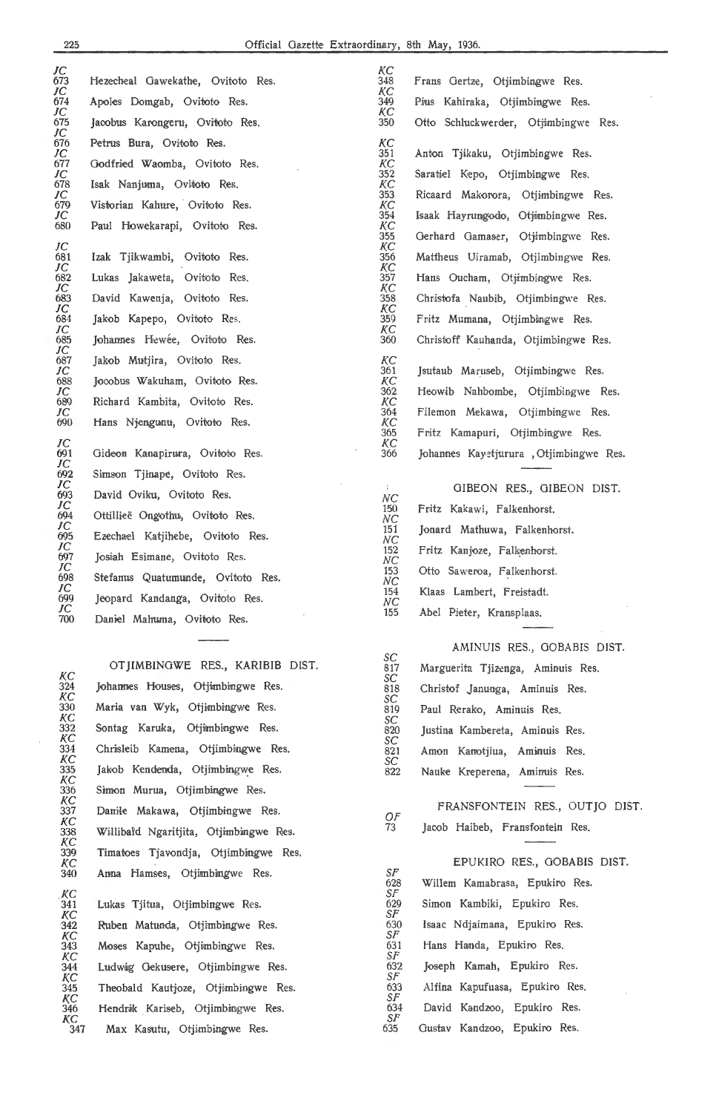K.C 324 *KC*  330 KC<br>332 KC<br>334 *KC*  335 *KC*  336

*KC*  337 *KC*  338

*KC*  339 *KC*  340 *KC* 

*KC* 

*KC* 

*KC* 

*KC* 

*KC* 

*KC* 

*KC*  348 K.C 349 K.C 350

*KC*  351 *KC*  352 *KC*  353 *KC*  354 *KC*  355 *KC*  356 *KC*  357 *KC*  358 *KC*  359 *KC*  360

> *KC*  361 *KC*  362 K.C 364 *KC*  365 *KC*  366

*NC*  150 *NC*  151 *NC*  152 *NC*  153 *NC*  154 *NC*  155

*SC*  817 *SC*  818 *SC*  819 *SC*  820 *SC*  821 *SC*  822

> Of' 73

Sf' 628 Sf' 629 Sf' 630 Sf' 631 Sf'

Sf' 633  $\mathcal{S}F$ 634 Sf' 635

| JC<br>673       | Hezecheal Gawekathe, Ovitoto Res. |
|-----------------|-----------------------------------|
| JС<br>674       | Apoles Domgab, Ovitoto Res.       |
| JC<br>675       | Jacobus Karongeru, Ovitoto Res.   |
| JС<br>676       | Petrus Bura, Ovitoto Res.         |
| JC<br>677       | Godfried Waomba, Ovitoto Res.     |
| JС<br>678       | Isak Nanjuma, Ovitoto Res.        |
| JC<br>679       | Vistorian Kahure, Ovitoto Res.    |
| JC<br>680       | Paul Howekarapi, Ovitoto Res.     |
| JС<br>681       | Izak Tjikwambi, Ovitoto Res.      |
| JC<br>682       | Lukas Jakaweta, Ovitoto Res.      |
| JC<br>683       | David Kawenja, Ovitoto Res.       |
| JC<br>684       | Jakob Kapepo, Ovitoto Res.        |
| JC<br>685       | Johannes Hewée, Ovitoto Res.      |
| JC<br>687       | Jakob Mutjira, Ovitoto Res.       |
| JC<br>688       | Jocobus Wakuham, Ovitoto Res.     |
| JC<br>689       | Richard Kambita, Ovitoto Res.     |
| JC<br>690       | Hans Njengunu, Ovitoto Res.       |
| JC<br>691<br>JC | Gideon Kanapirura, Ovitoto Res.   |
| 692<br>JC       | Simson Tjinape, Ovitoto Res.      |
| 693<br>JC       | David Oviku, Ovitoto Res.         |
| 694<br>JC       | Ottillieë Ongothu, Ovitoto Res.   |
| 695<br>JC       | Ezechael Katjihebe, Ovitoto Res.  |
| 697             | Josiah Esimane, Ovitoto Res.      |
| JC<br>698       | Stefanus Quatumunde, Ovitoto Res. |
| JC<br>699       | Jeopard Kandanga, Ovitoto Res.    |
| JC<br>700       | Daniel Mahuma, Ovitoto Res.       |

OTJIMBINOWE RES., KARIBIB DIST. Johannes Houses, Otjimbingwe Res. Maria van Wyk, Otjimbingwe Res. Sontag Karuka, Otjimbingwe Res. Chrisleib Kamena, Otjimbingwe Res. Jakob Kendenda, Otjimbingwe Res. Simon Murua, Otjimbingwe Res. Danile Makawa, Otjimbingwe Res. Willibal'd Ngaritjita, Otjimbingwe Res. Timatoes Tjavondja, Otjimbingwe Res. Anna Hamses, Otjimbingwe Res.

Lukas Tjitua, Otjimbingwe Res. Ruben Matunda, Otjimbingwe Res. Moses Kapuhe, Otjimbingwe Res. Ludwig Gekusere, Otjimbingwe Res. Theobald Kautjoze, Otjimbingwe Res. Hendrik Kariseb, Otjimbingwe Res. Max Kasutu, Otjimbingwe Res.

Frans Gertze, Otjimbingwe Res. Pius Kahiraka, Otjimbingwe Res. Otto Schluckwerder, Otjimbingwe Res. Anton Tjikaku, Otjimbingwe Res. Saratiel Kepo, Otjimbingwe Res. Ricaard Makorora, Otjimbingwe Res. Isaak Hayrungodo, Otjimbingwe Res. Gerhard Gamaser, Otjimbingwe Res. Mattheus Uiramab, Otjimbingwe Res. Hans Oucham, Otjimbingwe Res. Christofa Naubib, Otjimbingwe Res. Fritz Mumana, Otjimbingwe Res. Christoff Kauhanda, Otjimbingwe Res.

Jsutaub Maruseb, Otjimbingwe Res. Heowib Nahbombe, Otjimbingwe Res. Filemon Mekawa, Otjimbingwe Res. Fritz Kamapuri, Otjimbingwe Res. Johannes Kayetjurura , Otjimbingwe Res.

GIBEON RES., GIBEON DIST. Fritz Kakawi, Falkenhorst. Jonard Mathuwa, Falkenhorst. Fritz Kanjoze, Falkenhorst. Otto Saweroa, Falkenhorst. Klaas Lambert, Freistadt. Abel Pieter, Kransplaas.

AMINUIS RES., GOBABIS DIST. Marguerita Tjizenga, Aminuis Res. Christof Janunga, Aminuis Res. Paul Rerako, Aminuis Res. Justina Kambereta, Aminuis Res. Amon Kanotjiua, Aminuis Res. Nauke Kreperena, Aminuis Res.

#### FRANSFONTEIN RES., OUT JO DIST. Jaoob Haibeb, Fransfontein Res.

#### 632 EPUKIRO RES., GOBABIS DIST. Willem Kamabrasa, Epukiro Res. Simon Kambiki, Epukiro Res. Isaac Ndjaimana, Epukiro Res. Hans Handa, Epukiro Res. Joseph Kamah, Epukiro Res. Alfina Kapufuasa, Epukiro Res. David Kandzoo, Epukiro Res. Gustav Kandzoo, Epukiro Res.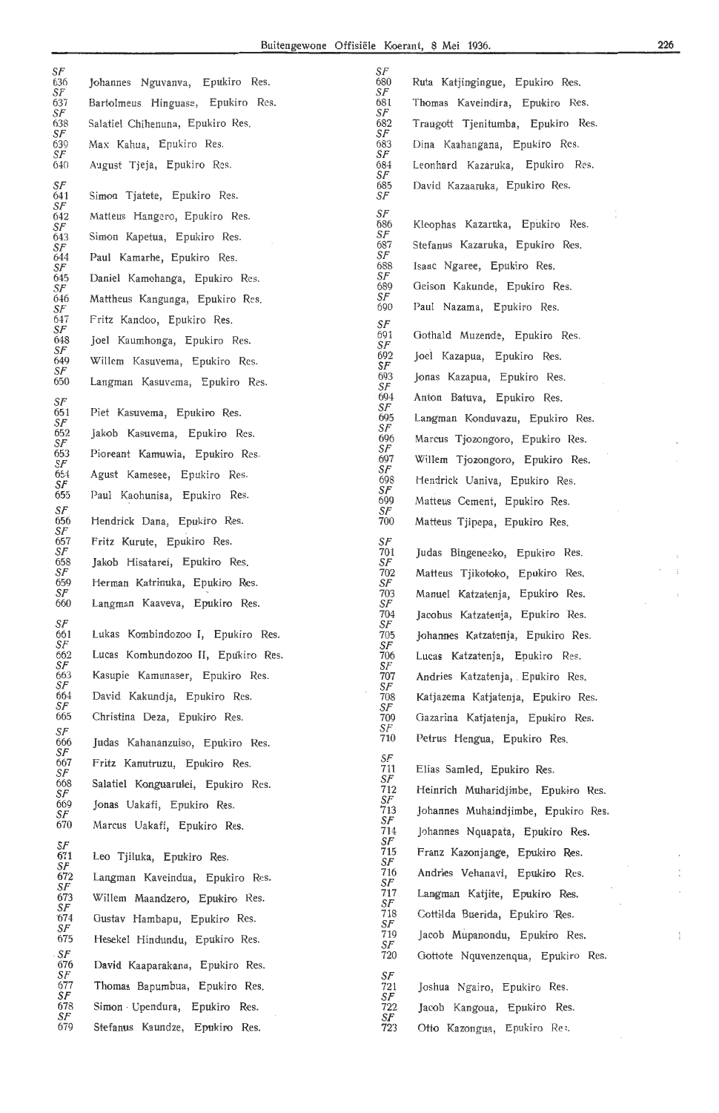$S_F$ 

*SF* 

*SF SF*  636 Johannes Nguvanva, Epukiro Res. *SF*  637 Bartolmeus Hinguase, Epukiro Res.<br>*SF*<br>638 Salatiel Chihenuna, Epukiro Res. 638 Salatiel Chihenuna, Epukiro Res.<br>  $S$ F Traugott Tjenitumba, Epukiro Res.<br>  $S$ F *SF SF*  639 Max Kahua, Epukiro Res. *SF*  640 August Tjeja , Epukiro Res. 684 Leonhard Kazaruka, Epukiro Res. *SF*  Simon Tjatete, Epukiro Res.  $641$ <br> $SF$ <br> $642$ Matteus Hangero, Epukiro Res. *SF*  Simon Kapetua, Epukiro Res. *SF*  Paul Kamarhe, Epukiro Res. *SF*  645 Dani-el Kamohanga, Epukiro Res. *SF*  646 Mattheus Kangunga, Epukiro Res. *SF*  647 Fritz Kandoo, Epukiro Res. *SF*  Joel Kaumhonga, Epukiro Res. 648<br>*SF*<br>649 649 Willem Kasuvema, Epukiro Res. *SF*  Langman Kasuvema, Epukiro Res. *SF*  651 Piet Kasuvema, Epukiro Res.<br>*SF*<br>652 Jakob Kasuvema. Epukiro F 652 Jakob Kasuvema, Epukiro Res. *SF*  653 Pioreant Kamuwia, Epukiro Res<br>SF<br>654 Agust Kamesee, Epukiro Res. 654 Agust Kamesee, Epukiro Res.<br>*SF*<br>655 Paul Kaohunisa, Epukiro Res Paul Kaohunisa, Epukiro Res. *SF*  Hendrick Dana, Epukiro Res. *SF*  Fritz Kurute, Epukiro Res. *SF*<br>
70 *SF*  Jakob Hisatarei, Epukiro Res. *SF*  Herman Katrinuka, Epukiro Res. *SF*  Langman Kaaveva, Epukiro Res. *SF*  661 Lukas Kombindozoo I, Epukiro Res. *SF*  662 Lucas Kombundozoo **II,** Epukiro Res. *SF*  Kasupie Kamunaser, Epukiro Res. *SF*  David Kakundja, Epukiro Res *SF*  Christina Deza, Epukiro Res. *SF*  Judas Kahananzuiso, Epukiro Res. *SF*  667 Fritz Kanutruzu, Epukiro Res. *SF*  668 Salatiel Konguarulei, Epukiro Res<br>*SF*<br>669 Jonas Uakafi, Epukiro Res. Jonas Uakafi, Epukiro Res. *SF*  Marcus Uakafi, Epukiro Res. *SF*  Leo Tjiluka, Epukiro Res. *SF*  672 Langman Kaveindua, Epukiro Res. *SF*  Willem Maandzero, Epukiro Res. *SF*  Gustav Hambapu, Epukiro Res. *SF*  Hesekel Hindundu, Epukiro Res. *SF*  David Kaaparakana, Epukiro Res. *SF*  Thomas Bapumbua, Epukiro Res. *SF*  Simon · Upendura, Epukiro Res. *SF* 

680 Ruta Katjingingue, Epukiro Res. *SF*  681 Thomas Kaveindira, Epukir-o R,es. *SF*  683 Dina Kaahangana, Epukiro Res. *SF*  David Kazaaruka, Epukiro Res. *SF*  686 Kleophas Kazaruka , Epukiro R,es. *SF*  Stefanus Kazaruka, Epukiro Res. *SF*  Isaac Ngaree, Epukiro Res. *SF*  689 Oeison Kakunde, Epukiro Res. *SF*  Paul Nazama, Epukiro Res. Gothald Muzende, Epukiro Res. *SI*<br>691<br>*SF*<br>692<br>*SF* 692 Joei Kazapua, Epukiro Res. *SF*  693 J,onas Kazapua, Epukir,o Res. *SF*  694 Anton Batuva, Epukiro Res. *SF*  Langman Konduvazu, Epukiro Res. *SF*  Marcus Tiozongoro, Epukiro Res. *SF*  Willem Tjozongoro, Epukiro Res. *SF*  698 Hendrick Uaniva, Epukiro Res. *SF*  Matteus Cement, Epukiro Res. *SF*  Matteus Tiipepa, Epukiro Res. 701 Judas Bingeneeko, Epukiro Res.<br>*SF*<br>702 Matteus Tiikotoko, Epukiro Res. Matteus Tiikotoko, Epukiro Res. *SF*  Manuel Katzatenia, Epukiro Res. *SF*  Jacobus Katzatenia, Epukiro Res.  $\frac{SF}{705}$ Johannes Katzatenia, Epukiro Res. *SF*  706 Lucas Katzatenja, Epukiro Res. *SF*  Andries Katzatenia, Epukiro Res. *SF*  Katjazema Katjatenja, Epukiro Res. *SF*  709 Oazarina Katjatenja, Epukiro Res. *SF*  Petrus Hengua, Epukiro Res. *SF*  711 Elias Samled, Epukiro Res.<br>SF Heinrich Muharidjinbe, Epukiro Res. *SF*  Johannes Muhaindiimbe, Epukiro Res. *SF*  Johannes Nquapata, Epukiro Res.  $\frac{S}{71}$ Franz Kazonjange, Epukiro Res.  $\frac{S}{71}$ Andries Vehanavi, Epukiro Res. *SF*  Langman Katiite, Epukiro Res. *SF*  718 Cottilda Buerida, Epukiro 'Res.<br>*SF*<br>719 **Iacob Mupanondu, Epukiro F** Jacob Mupanondu, Epukiro Res. *SF*  Gottote Nquvenzenqua, Epukiro Res. *SF*  Joshua Ngairo, Epukiro Res. *SF*  Jacob Kangoua, Epukiro Res.  $\frac{S}{72}$ Stefanus Kaundze, Epukiro Res. The Contract of Table Contracts Contracts Contracts Res.